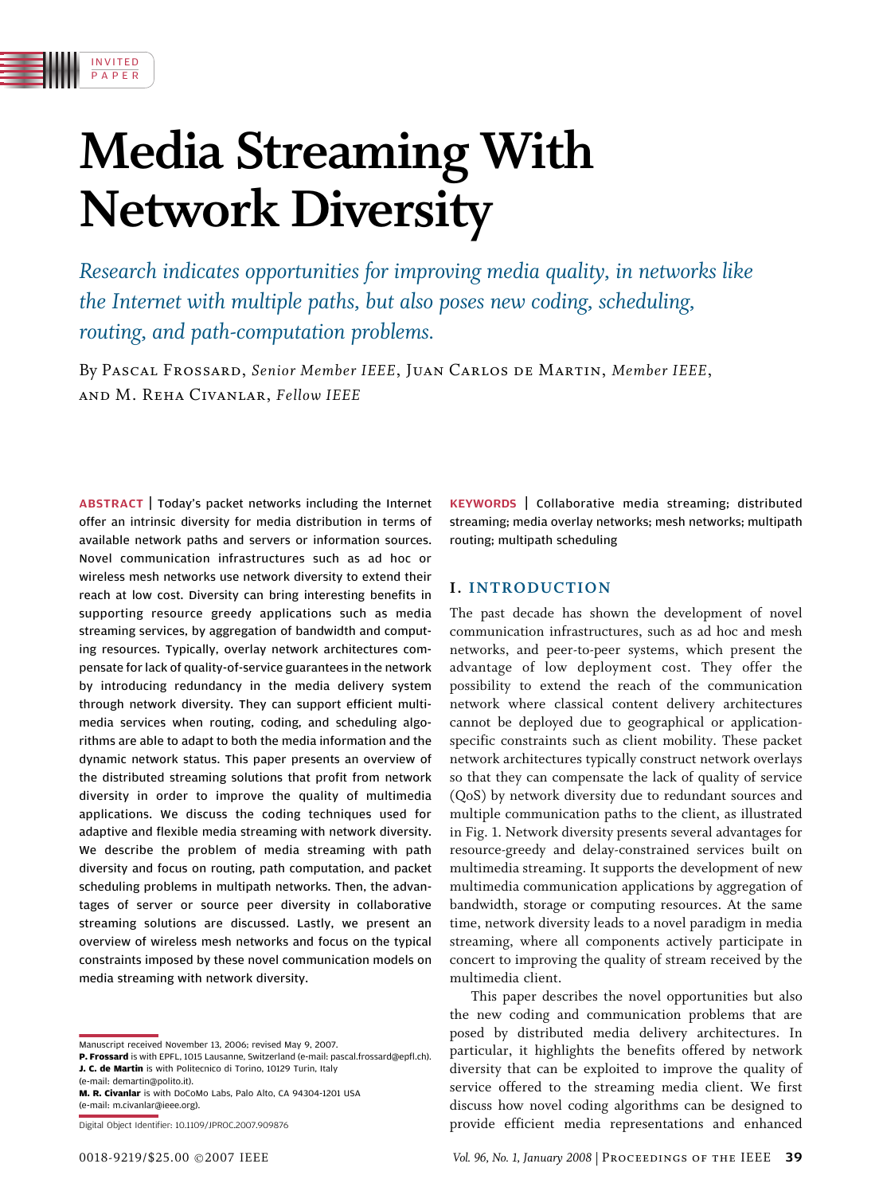# Media Streaming With Network Diversity

Research indicates opportunities for improving media quality, in networks like the Internet with multiple paths, but also poses new coding, scheduling, routing, and path-computation problems.

By Pascal Frossard, Senior Member IEEE, Juan Carlos de Martin, Member IEEE, and M. Reha Civanlar, Fellow IEEE

ABSTRACT | Today's packet networks including the Internet offer an intrinsic diversity for media distribution in terms of available network paths and servers or information sources. Novel communication infrastructures such as ad hoc or wireless mesh networks use network diversity to extend their reach at low cost. Diversity can bring interesting benefits in supporting resource greedy applications such as media streaming services, by aggregation of bandwidth and computing resources. Typically, overlay network architectures compensate for lack of quality-of-service guarantees in the network by introducing redundancy in the media delivery system through network diversity. They can support efficient multimedia services when routing, coding, and scheduling algorithms are able to adapt to both the media information and the dynamic network status. This paper presents an overview of the distributed streaming solutions that profit from network diversity in order to improve the quality of multimedia applications. We discuss the coding techniques used for adaptive and flexible media streaming with network diversity. We describe the problem of media streaming with path diversity and focus on routing, path computation, and packet scheduling problems in multipath networks. Then, the advantages of server or source peer diversity in collaborative streaming solutions are discussed. Lastly, we present an overview of wireless mesh networks and focus on the typical constraints imposed by these novel communication models on media streaming with network diversity.

INVITED PAPER

KEYWORDS | Collaborative media streaming; distributed streaming; media overlay networks; mesh networks; multipath routing; multipath scheduling

## I. INTRODUCTION

The past decade has shown the development of novel communication infrastructures, such as ad hoc and mesh networks, and peer-to-peer systems, which present the advantage of low deployment cost. They offer the possibility to extend the reach of the communication network where classical content delivery architectures cannot be deployed due to geographical or applicationspecific constraints such as client mobility. These packet network architectures typically construct network overlays so that they can compensate the lack of quality of service (QoS) by network diversity due to redundant sources and multiple communication paths to the client, as illustrated in Fig. 1. Network diversity presents several advantages for resource-greedy and delay-constrained services built on multimedia streaming. It supports the development of new multimedia communication applications by aggregation of bandwidth, storage or computing resources. At the same time, network diversity leads to a novel paradigm in media streaming, where all components actively participate in concert to improving the quality of stream received by the multimedia client.

This paper describes the novel opportunities but also the new coding and communication problems that are posed by distributed media delivery architectures. In particular, it highlights the benefits offered by network diversity that can be exploited to improve the quality of service offered to the streaming media client. We first discuss how novel coding algorithms can be designed to provide efficient media representations and enhanced

Manuscript received November 13, 2006; revised May 9, 2007.

P. Frossard is with EPFL, 1015 Lausanne, Switzerland (e-mail: pascal.frossard@epfl.ch). J. C. de Martin is with Politecnico di Torino, 10129 Turin, Italy

<sup>(</sup>e-mail: demartin@polito.it). M. R. Civanlar is with DoCoMo Labs, Palo Alto, CA 94304-1201 USA (e-mail: m.civanlar@ieee.org).

Digital Object Identifier: 10.1109/JPROC.2007.909876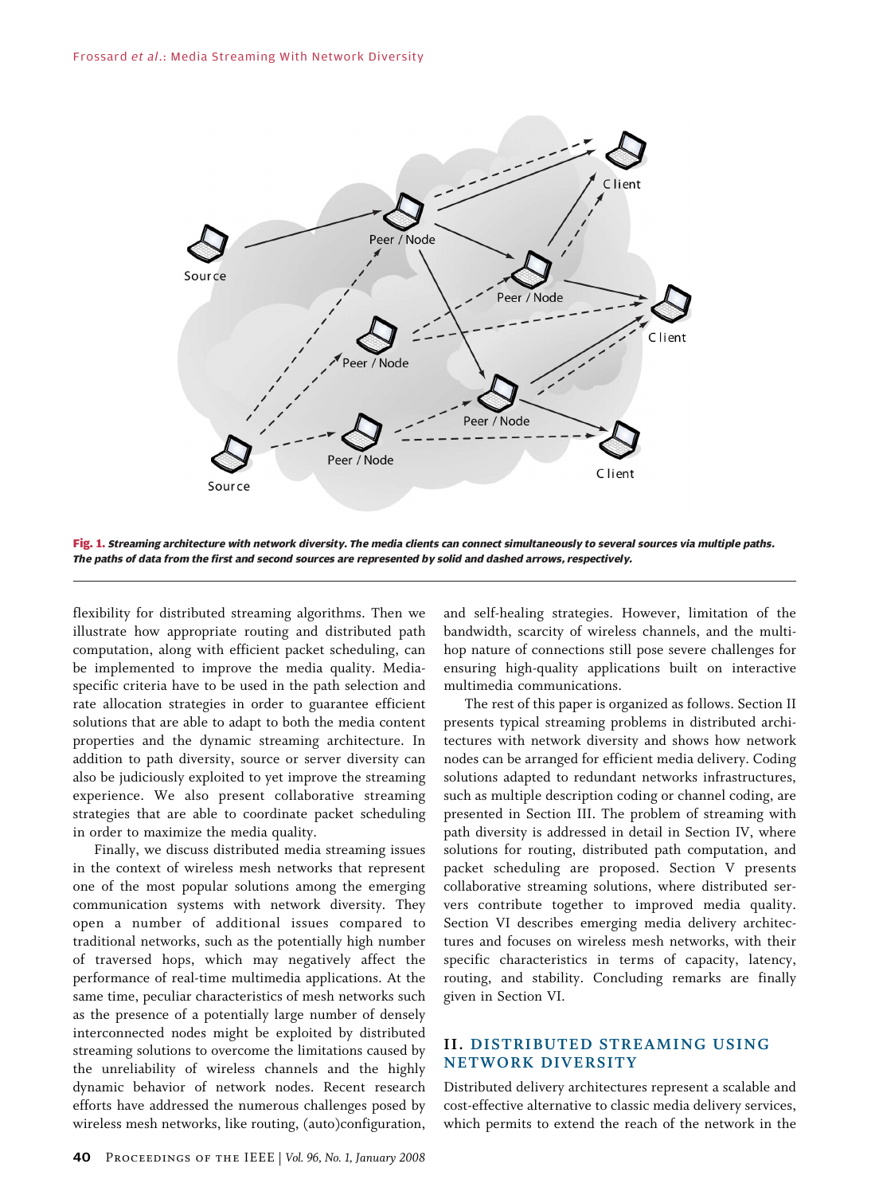

Fig. 1. Streaming architecture with network diversity. The media clients can connect simultaneously to several sources via multiple paths. The paths of data from the first and second sources are represented by solid and dashed arrows, respectively.

flexibility for distributed streaming algorithms. Then we illustrate how appropriate routing and distributed path computation, along with efficient packet scheduling, can be implemented to improve the media quality. Mediaspecific criteria have to be used in the path selection and rate allocation strategies in order to guarantee efficient solutions that are able to adapt to both the media content properties and the dynamic streaming architecture. In addition to path diversity, source or server diversity can also be judiciously exploited to yet improve the streaming experience. We also present collaborative streaming strategies that are able to coordinate packet scheduling in order to maximize the media quality.

Finally, we discuss distributed media streaming issues in the context of wireless mesh networks that represent one of the most popular solutions among the emerging communication systems with network diversity. They open a number of additional issues compared to traditional networks, such as the potentially high number of traversed hops, which may negatively affect the performance of real-time multimedia applications. At the same time, peculiar characteristics of mesh networks such as the presence of a potentially large number of densely interconnected nodes might be exploited by distributed streaming solutions to overcome the limitations caused by the unreliability of wireless channels and the highly dynamic behavior of network nodes. Recent research efforts have addressed the numerous challenges posed by wireless mesh networks, like routing, (auto)configuration,

and self-healing strategies. However, limitation of the bandwidth, scarcity of wireless channels, and the multihop nature of connections still pose severe challenges for ensuring high-quality applications built on interactive multimedia communications.

The rest of this paper is organized as follows. Section II presents typical streaming problems in distributed architectures with network diversity and shows how network nodes can be arranged for efficient media delivery. Coding solutions adapted to redundant networks infrastructures, such as multiple description coding or channel coding, are presented in Section III. The problem of streaming with path diversity is addressed in detail in Section IV, where solutions for routing, distributed path computation, and packet scheduling are proposed. Section V presents collaborative streaming solutions, where distributed servers contribute together to improved media quality. Section VI describes emerging media delivery architectures and focuses on wireless mesh networks, with their specific characteristics in terms of capacity, latency, routing, and stability. Concluding remarks are finally given in Section VI.

# II. DISTRIBUTED STREAMING USING NETWORK DIVERSITY

Distributed delivery architectures represent a scalable and cost-effective alternative to classic media delivery services, which permits to extend the reach of the network in the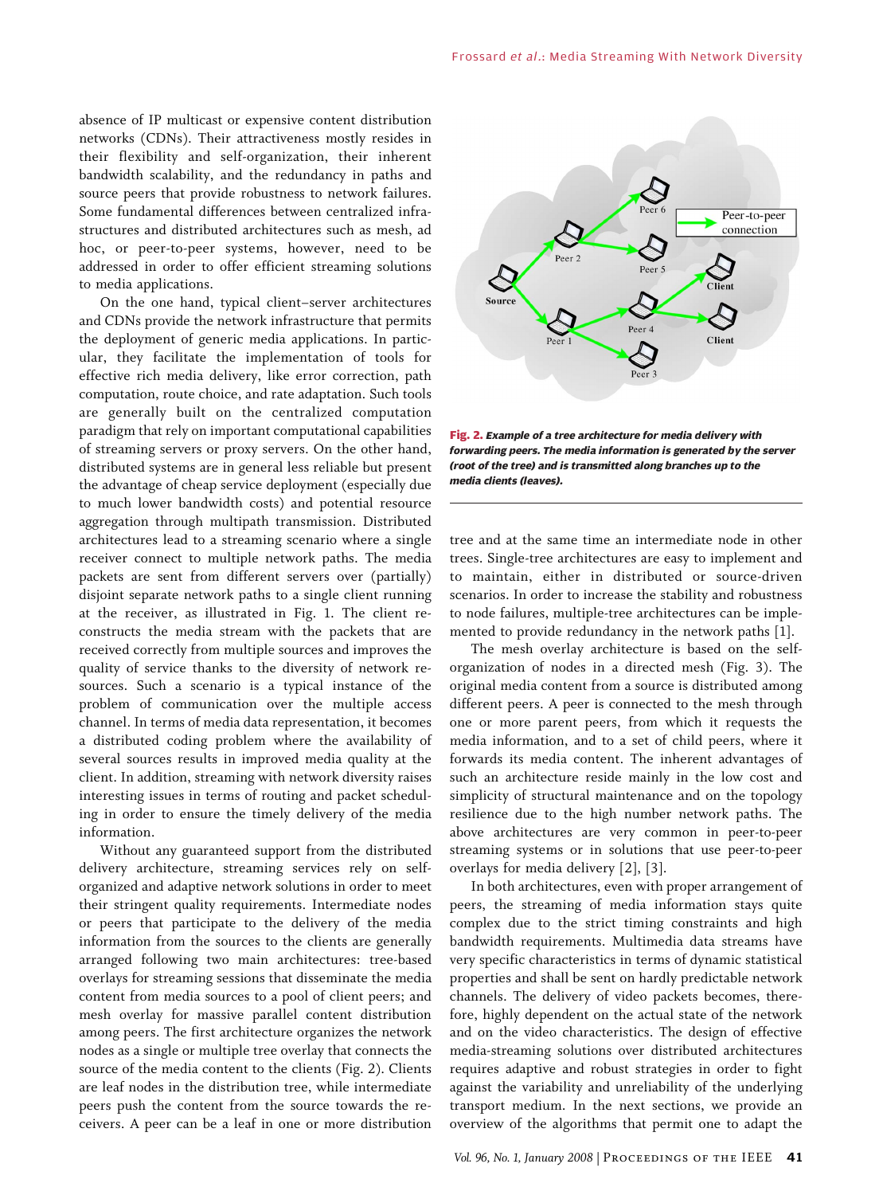absence of IP multicast or expensive content distribution networks (CDNs). Their attractiveness mostly resides in their flexibility and self-organization, their inherent bandwidth scalability, and the redundancy in paths and source peers that provide robustness to network failures. Some fundamental differences between centralized infrastructures and distributed architectures such as mesh, ad hoc, or peer-to-peer systems, however, need to be addressed in order to offer efficient streaming solutions to media applications.

On the one hand, typical client–server architectures and CDNs provide the network infrastructure that permits the deployment of generic media applications. In particular, they facilitate the implementation of tools for effective rich media delivery, like error correction, path computation, route choice, and rate adaptation. Such tools are generally built on the centralized computation paradigm that rely on important computational capabilities of streaming servers or proxy servers. On the other hand, distributed systems are in general less reliable but present the advantage of cheap service deployment (especially due to much lower bandwidth costs) and potential resource aggregation through multipath transmission. Distributed architectures lead to a streaming scenario where a single receiver connect to multiple network paths. The media packets are sent from different servers over (partially) disjoint separate network paths to a single client running at the receiver, as illustrated in Fig. 1. The client reconstructs the media stream with the packets that are received correctly from multiple sources and improves the quality of service thanks to the diversity of network resources. Such a scenario is a typical instance of the problem of communication over the multiple access channel. In terms of media data representation, it becomes a distributed coding problem where the availability of several sources results in improved media quality at the client. In addition, streaming with network diversity raises interesting issues in terms of routing and packet scheduling in order to ensure the timely delivery of the media information.

Without any guaranteed support from the distributed delivery architecture, streaming services rely on selforganized and adaptive network solutions in order to meet their stringent quality requirements. Intermediate nodes or peers that participate to the delivery of the media information from the sources to the clients are generally arranged following two main architectures: tree-based overlays for streaming sessions that disseminate the media content from media sources to a pool of client peers; and mesh overlay for massive parallel content distribution among peers. The first architecture organizes the network nodes as a single or multiple tree overlay that connects the source of the media content to the clients (Fig. 2). Clients are leaf nodes in the distribution tree, while intermediate peers push the content from the source towards the receivers. A peer can be a leaf in one or more distribution



Fig. 2. Example of a tree architecture for media delivery with forwarding peers. The media information is generated by the server (root of the tree) and is transmitted along branches up to the media clients (leaves).

tree and at the same time an intermediate node in other trees. Single-tree architectures are easy to implement and to maintain, either in distributed or source-driven scenarios. In order to increase the stability and robustness to node failures, multiple-tree architectures can be implemented to provide redundancy in the network paths [1].

The mesh overlay architecture is based on the selforganization of nodes in a directed mesh (Fig. 3). The original media content from a source is distributed among different peers. A peer is connected to the mesh through one or more parent peers, from which it requests the media information, and to a set of child peers, where it forwards its media content. The inherent advantages of such an architecture reside mainly in the low cost and simplicity of structural maintenance and on the topology resilience due to the high number network paths. The above architectures are very common in peer-to-peer streaming systems or in solutions that use peer-to-peer overlays for media delivery [2], [3].

In both architectures, even with proper arrangement of peers, the streaming of media information stays quite complex due to the strict timing constraints and high bandwidth requirements. Multimedia data streams have very specific characteristics in terms of dynamic statistical properties and shall be sent on hardly predictable network channels. The delivery of video packets becomes, therefore, highly dependent on the actual state of the network and on the video characteristics. The design of effective media-streaming solutions over distributed architectures requires adaptive and robust strategies in order to fight against the variability and unreliability of the underlying transport medium. In the next sections, we provide an overview of the algorithms that permit one to adapt the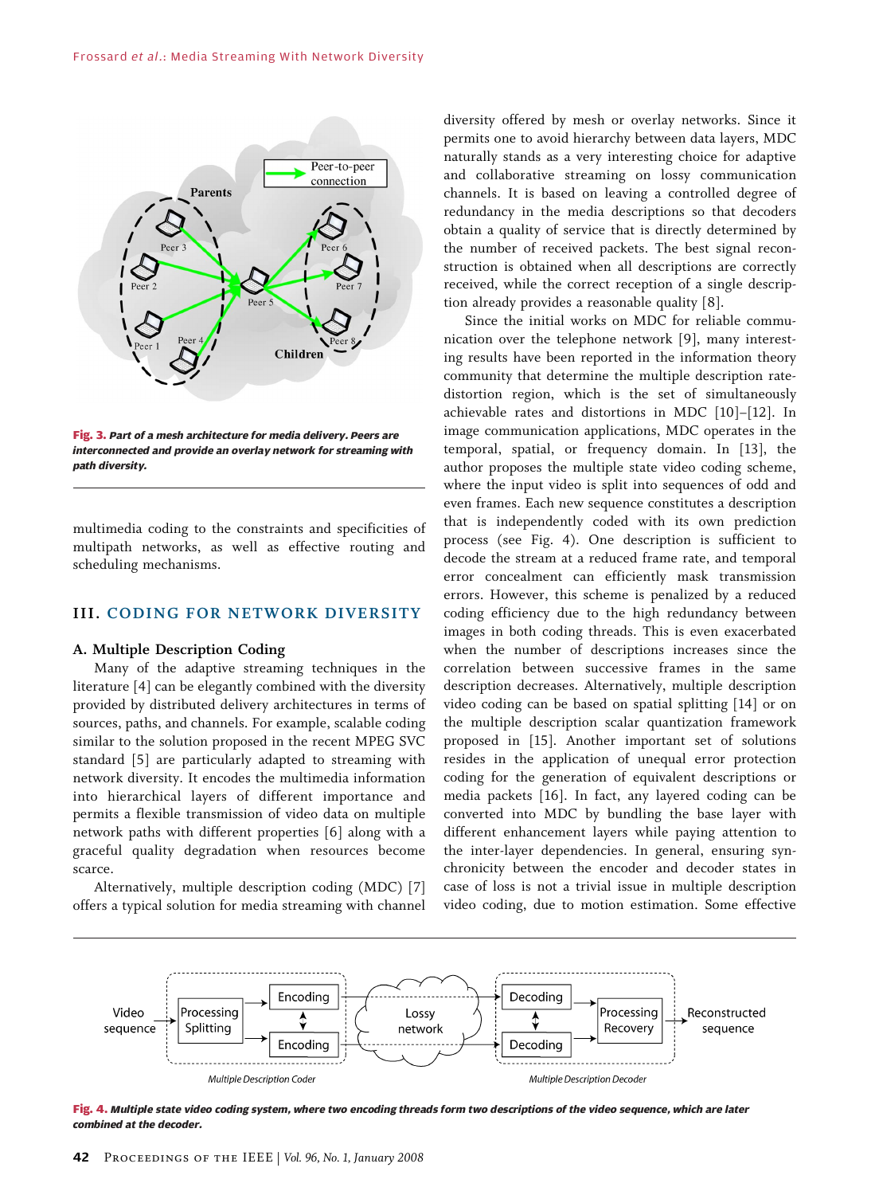

Fig. 3. Part of a mesh architecture for media delivery. Peers are interconnected and provide an overlay network for streaming with path diversity.

multimedia coding to the constraints and specificities of multipath networks, as well as effective routing and scheduling mechanisms.

## III. CODING FOR NETWORK DIVERSITY

## A. Multiple Description Coding

Many of the adaptive streaming techniques in the literature [4] can be elegantly combined with the diversity provided by distributed delivery architectures in terms of sources, paths, and channels. For example, scalable coding similar to the solution proposed in the recent MPEG SVC standard [5] are particularly adapted to streaming with network diversity. It encodes the multimedia information into hierarchical layers of different importance and permits a flexible transmission of video data on multiple network paths with different properties [6] along with a graceful quality degradation when resources become scarce.

Alternatively, multiple description coding (MDC) [7] offers a typical solution for media streaming with channel diversity offered by mesh or overlay networks. Since it permits one to avoid hierarchy between data layers, MDC naturally stands as a very interesting choice for adaptive and collaborative streaming on lossy communication channels. It is based on leaving a controlled degree of redundancy in the media descriptions so that decoders obtain a quality of service that is directly determined by the number of received packets. The best signal reconstruction is obtained when all descriptions are correctly received, while the correct reception of a single description already provides a reasonable quality [8].

Since the initial works on MDC for reliable communication over the telephone network [9], many interesting results have been reported in the information theory community that determine the multiple description ratedistortion region, which is the set of simultaneously achievable rates and distortions in MDC [10]–[12]. In image communication applications, MDC operates in the temporal, spatial, or frequency domain. In [13], the author proposes the multiple state video coding scheme, where the input video is split into sequences of odd and even frames. Each new sequence constitutes a description that is independently coded with its own prediction process (see Fig. 4). One description is sufficient to decode the stream at a reduced frame rate, and temporal error concealment can efficiently mask transmission errors. However, this scheme is penalized by a reduced coding efficiency due to the high redundancy between images in both coding threads. This is even exacerbated when the number of descriptions increases since the correlation between successive frames in the same description decreases. Alternatively, multiple description video coding can be based on spatial splitting [14] or on the multiple description scalar quantization framework proposed in [15]. Another important set of solutions resides in the application of unequal error protection coding for the generation of equivalent descriptions or media packets [16]. In fact, any layered coding can be converted into MDC by bundling the base layer with different enhancement layers while paying attention to the inter-layer dependencies. In general, ensuring synchronicity between the encoder and decoder states in case of loss is not a trivial issue in multiple description video coding, due to motion estimation. Some effective



Fig. 4. Multiple state video coding system, where two encoding threads form two descriptions of the video sequence, which are later combined at the decoder.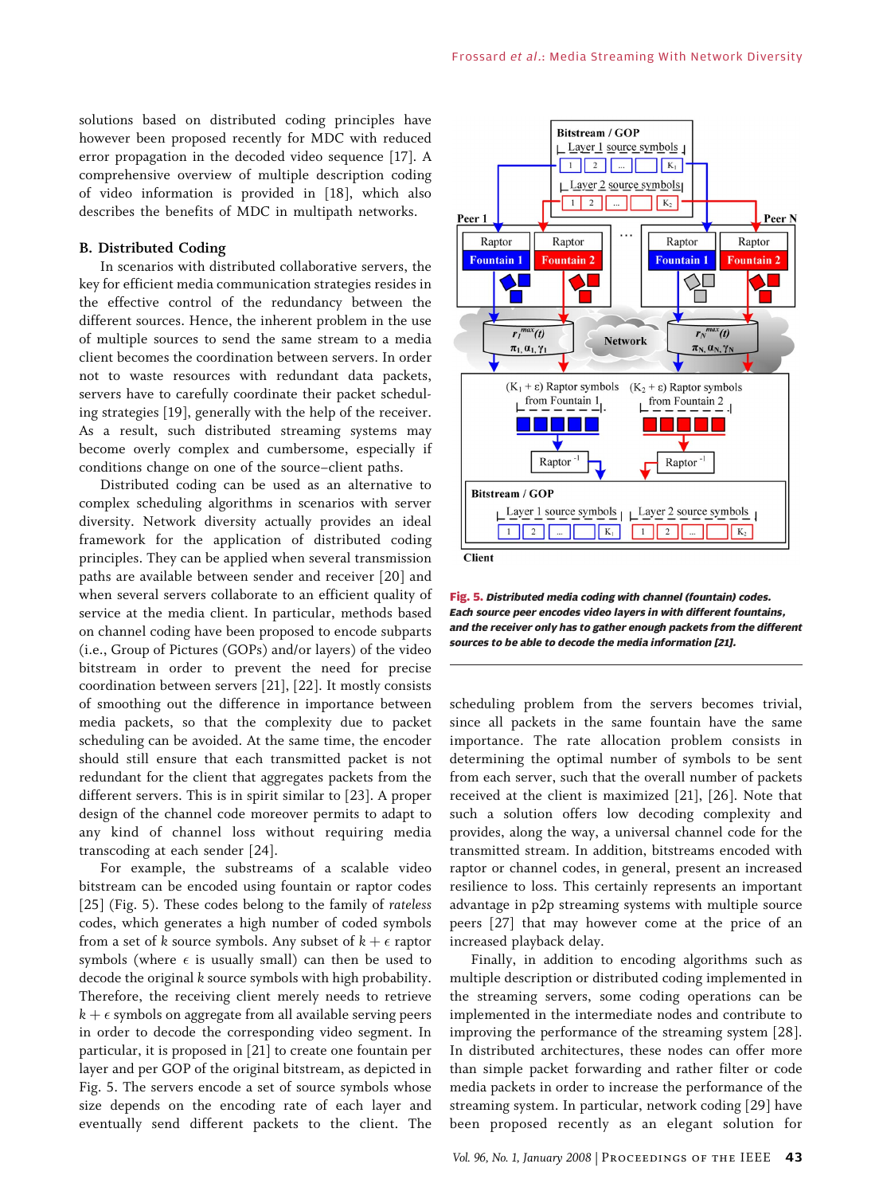solutions based on distributed coding principles have however been proposed recently for MDC with reduced error propagation in the decoded video sequence [17]. A comprehensive overview of multiple description coding of video information is provided in [18], which also describes the benefits of MDC in multipath networks.

#### B. Distributed Coding

In scenarios with distributed collaborative servers, the key for efficient media communication strategies resides in the effective control of the redundancy between the different sources. Hence, the inherent problem in the use of multiple sources to send the same stream to a media client becomes the coordination between servers. In order not to waste resources with redundant data packets, servers have to carefully coordinate their packet scheduling strategies [19], generally with the help of the receiver. As a result, such distributed streaming systems may become overly complex and cumbersome, especially if conditions change on one of the source–client paths.

Distributed coding can be used as an alternative to complex scheduling algorithms in scenarios with server diversity. Network diversity actually provides an ideal framework for the application of distributed coding principles. They can be applied when several transmission paths are available between sender and receiver [20] and when several servers collaborate to an efficient quality of service at the media client. In particular, methods based on channel coding have been proposed to encode subparts (i.e., Group of Pictures (GOPs) and/or layers) of the video bitstream in order to prevent the need for precise coordination between servers [21], [22]. It mostly consists of smoothing out the difference in importance between media packets, so that the complexity due to packet scheduling can be avoided. At the same time, the encoder should still ensure that each transmitted packet is not redundant for the client that aggregates packets from the different servers. This is in spirit similar to [23]. A proper design of the channel code moreover permits to adapt to any kind of channel loss without requiring media transcoding at each sender [24].

For example, the substreams of a scalable video bitstream can be encoded using fountain or raptor codes [25] (Fig. 5). These codes belong to the family of rateless codes, which generates a high number of coded symbols from a set of k source symbols. Any subset of  $k + \epsilon$  raptor symbols (where  $\epsilon$  is usually small) can then be used to decode the original k source symbols with high probability. Therefore, the receiving client merely needs to retrieve  $k + \epsilon$  symbols on aggregate from all available serving peers in order to decode the corresponding video segment. In particular, it is proposed in [21] to create one fountain per layer and per GOP of the original bitstream, as depicted in Fig. 5. The servers encode a set of source symbols whose size depends on the encoding rate of each layer and eventually send different packets to the client. The



Fig. 5. Distributed media coding with channel (fountain) codes. Each source peer encodes video layers in with different fountains, and the receiver only has to gather enough packets from the different sources to be able to decode the media information [21].

scheduling problem from the servers becomes trivial, since all packets in the same fountain have the same importance. The rate allocation problem consists in determining the optimal number of symbols to be sent from each server, such that the overall number of packets received at the client is maximized [21], [26]. Note that such a solution offers low decoding complexity and provides, along the way, a universal channel code for the transmitted stream. In addition, bitstreams encoded with raptor or channel codes, in general, present an increased resilience to loss. This certainly represents an important advantage in p2p streaming systems with multiple source peers [27] that may however come at the price of an increased playback delay.

Finally, in addition to encoding algorithms such as multiple description or distributed coding implemented in the streaming servers, some coding operations can be implemented in the intermediate nodes and contribute to improving the performance of the streaming system [28]. In distributed architectures, these nodes can offer more than simple packet forwarding and rather filter or code media packets in order to increase the performance of the streaming system. In particular, network coding [29] have been proposed recently as an elegant solution for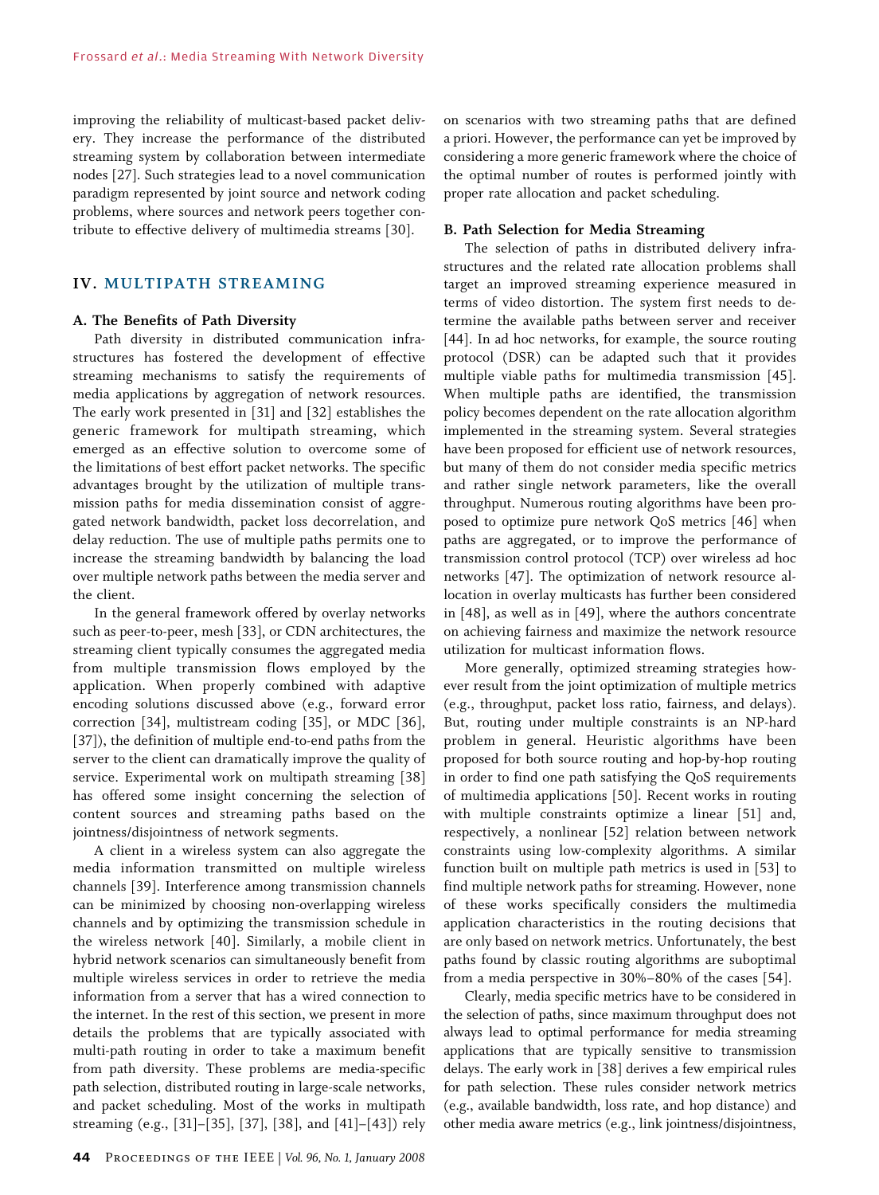improving the reliability of multicast-based packet delivery. They increase the performance of the distributed streaming system by collaboration between intermediate nodes [27]. Such strategies lead to a novel communication paradigm represented by joint source and network coding problems, where sources and network peers together contribute to effective delivery of multimedia streams [30].

# IV. MULTIPATH STREAMING

## A. The Benefits of Path Diversity

Path diversity in distributed communication infrastructures has fostered the development of effective streaming mechanisms to satisfy the requirements of media applications by aggregation of network resources. The early work presented in [31] and [32] establishes the generic framework for multipath streaming, which emerged as an effective solution to overcome some of the limitations of best effort packet networks. The specific advantages brought by the utilization of multiple transmission paths for media dissemination consist of aggregated network bandwidth, packet loss decorrelation, and delay reduction. The use of multiple paths permits one to increase the streaming bandwidth by balancing the load over multiple network paths between the media server and the client.

In the general framework offered by overlay networks such as peer-to-peer, mesh [33], or CDN architectures, the streaming client typically consumes the aggregated media from multiple transmission flows employed by the application. When properly combined with adaptive encoding solutions discussed above (e.g., forward error correction [34], multistream coding [35], or MDC [36], [37]), the definition of multiple end-to-end paths from the server to the client can dramatically improve the quality of service. Experimental work on multipath streaming [38] has offered some insight concerning the selection of content sources and streaming paths based on the jointness/disjointness of network segments.

A client in a wireless system can also aggregate the media information transmitted on multiple wireless channels [39]. Interference among transmission channels can be minimized by choosing non-overlapping wireless channels and by optimizing the transmission schedule in the wireless network [40]. Similarly, a mobile client in hybrid network scenarios can simultaneously benefit from multiple wireless services in order to retrieve the media information from a server that has a wired connection to the internet. In the rest of this section, we present in more details the problems that are typically associated with multi-path routing in order to take a maximum benefit from path diversity. These problems are media-specific path selection, distributed routing in large-scale networks, and packet scheduling. Most of the works in multipath streaming (e.g., [31]–[35], [37], [38], and [41]–[43]) rely

## B. Path Selection for Media Streaming

The selection of paths in distributed delivery infrastructures and the related rate allocation problems shall target an improved streaming experience measured in terms of video distortion. The system first needs to determine the available paths between server and receiver [44]. In ad hoc networks, for example, the source routing protocol (DSR) can be adapted such that it provides multiple viable paths for multimedia transmission [45]. When multiple paths are identified, the transmission policy becomes dependent on the rate allocation algorithm implemented in the streaming system. Several strategies have been proposed for efficient use of network resources, but many of them do not consider media specific metrics and rather single network parameters, like the overall throughput. Numerous routing algorithms have been proposed to optimize pure network QoS metrics [46] when paths are aggregated, or to improve the performance of transmission control protocol (TCP) over wireless ad hoc networks [47]. The optimization of network resource allocation in overlay multicasts has further been considered in [48], as well as in [49], where the authors concentrate on achieving fairness and maximize the network resource utilization for multicast information flows.

More generally, optimized streaming strategies however result from the joint optimization of multiple metrics (e.g., throughput, packet loss ratio, fairness, and delays). But, routing under multiple constraints is an NP-hard problem in general. Heuristic algorithms have been proposed for both source routing and hop-by-hop routing in order to find one path satisfying the QoS requirements of multimedia applications [50]. Recent works in routing with multiple constraints optimize a linear [51] and, respectively, a nonlinear [52] relation between network constraints using low-complexity algorithms. A similar function built on multiple path metrics is used in [53] to find multiple network paths for streaming. However, none of these works specifically considers the multimedia application characteristics in the routing decisions that are only based on network metrics. Unfortunately, the best paths found by classic routing algorithms are suboptimal from a media perspective in 30%–80% of the cases [54].

Clearly, media specific metrics have to be considered in the selection of paths, since maximum throughput does not always lead to optimal performance for media streaming applications that are typically sensitive to transmission delays. The early work in [38] derives a few empirical rules for path selection. These rules consider network metrics (e.g., available bandwidth, loss rate, and hop distance) and other media aware metrics (e.g., link jointness/disjointness,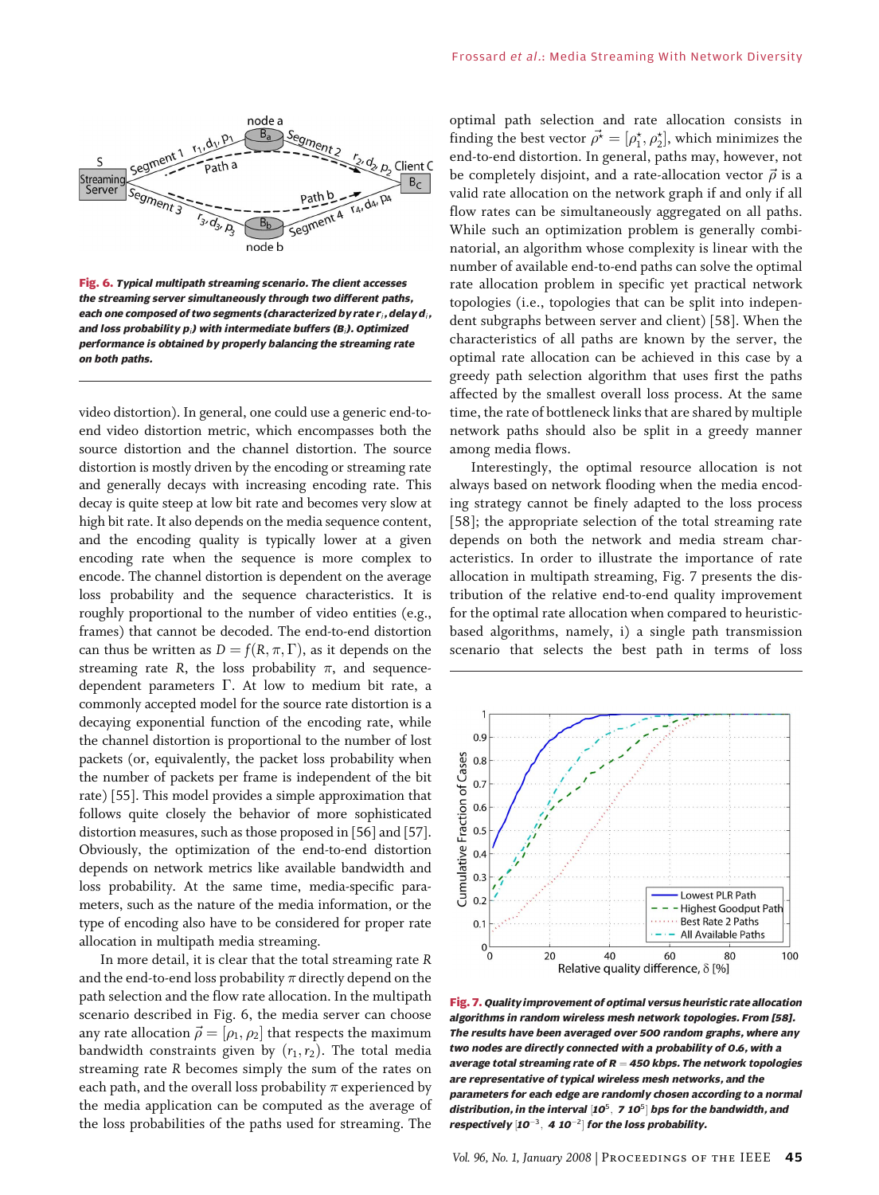

Fig. 6. Typical multipath streaming scenario. The client accesses the streaming server simultaneously through two different paths, each one composed of two segments (characterized by rate  $r_i$ , delay d<sub>i</sub>, and loss probability  $p_i$ ) with intermediate buffers (B<sub>i</sub>). Optimized performance is obtained by properly balancing the streaming rate on both paths.

video distortion). In general, one could use a generic end-toend video distortion metric, which encompasses both the source distortion and the channel distortion. The source distortion is mostly driven by the encoding or streaming rate and generally decays with increasing encoding rate. This decay is quite steep at low bit rate and becomes very slow at high bit rate. It also depends on the media sequence content, and the encoding quality is typically lower at a given encoding rate when the sequence is more complex to encode. The channel distortion is dependent on the average loss probability and the sequence characteristics. It is roughly proportional to the number of video entities (e.g., frames) that cannot be decoded. The end-to-end distortion can thus be written as  $D = f(R, \pi, \Gamma)$ , as it depends on the streaming rate R, the loss probability  $\pi$ , and sequencedependent parameters  $\Gamma$ . At low to medium bit rate, a commonly accepted model for the source rate distortion is a decaying exponential function of the encoding rate, while the channel distortion is proportional to the number of lost packets (or, equivalently, the packet loss probability when the number of packets per frame is independent of the bit rate) [55]. This model provides a simple approximation that follows quite closely the behavior of more sophisticated distortion measures, such as those proposed in [56] and [57]. Obviously, the optimization of the end-to-end distortion depends on network metrics like available bandwidth and loss probability. At the same time, media-specific parameters, such as the nature of the media information, or the type of encoding also have to be considered for proper rate allocation in multipath media streaming.

In more detail, it is clear that the total streaming rate R and the end-to-end loss probability  $\pi$  directly depend on the path selection and the flow rate allocation. In the multipath scenario described in Fig. 6, the media server can choose any rate allocation  $\vec{\rho} = [\rho_1, \rho_2]$  that respects the maximum bandwidth constraints given by  $(r_1, r_2)$ . The total media streaming rate R becomes simply the sum of the rates on each path, and the overall loss probability  $\pi$  experienced by the media application can be computed as the average of the loss probabilities of the paths used for streaming. The

optimal path selection and rate allocation consists in finding the best vector  $\vec{\rho^{\star}} = [\rho_1^{\star}, \rho_2^{\star}]$ , which minimizes the end-to-end distortion. In general, paths may, however, not be completely disjoint, and a rate-allocation vector  $\vec{\rho}$  is a valid rate allocation on the network graph if and only if all flow rates can be simultaneously aggregated on all paths. While such an optimization problem is generally combinatorial, an algorithm whose complexity is linear with the number of available end-to-end paths can solve the optimal rate allocation problem in specific yet practical network topologies (i.e., topologies that can be split into independent subgraphs between server and client) [58]. When the characteristics of all paths are known by the server, the optimal rate allocation can be achieved in this case by a greedy path selection algorithm that uses first the paths affected by the smallest overall loss process. At the same time, the rate of bottleneck links that are shared by multiple network paths should also be split in a greedy manner among media flows.

Interestingly, the optimal resource allocation is not always based on network flooding when the media encoding strategy cannot be finely adapted to the loss process [58]; the appropriate selection of the total streaming rate depends on both the network and media stream characteristics. In order to illustrate the importance of rate allocation in multipath streaming, Fig. 7 presents the distribution of the relative end-to-end quality improvement for the optimal rate allocation when compared to heuristicbased algorithms, namely, i) a single path transmission scenario that selects the best path in terms of loss



Fig. 7. Quality improvement of optimal versus heuristic rate allocation algorithms in random wireless mesh network topologies. From [58]. The results have been averaged over 500 random graphs, where any two nodes are directly connected with a probability of 0.6, with a average total streaming rate of  $R = 450$  kbps. The network topologies are representative of typical wireless mesh networks, and the parameters for each edge are randomly chosen according to a normal distribution, in the interval  $[10^5, 7 10^5]$  bps for the bandwidth, and respectively  $[10^{-3}, 4 10^{-2}]$  for the loss probability.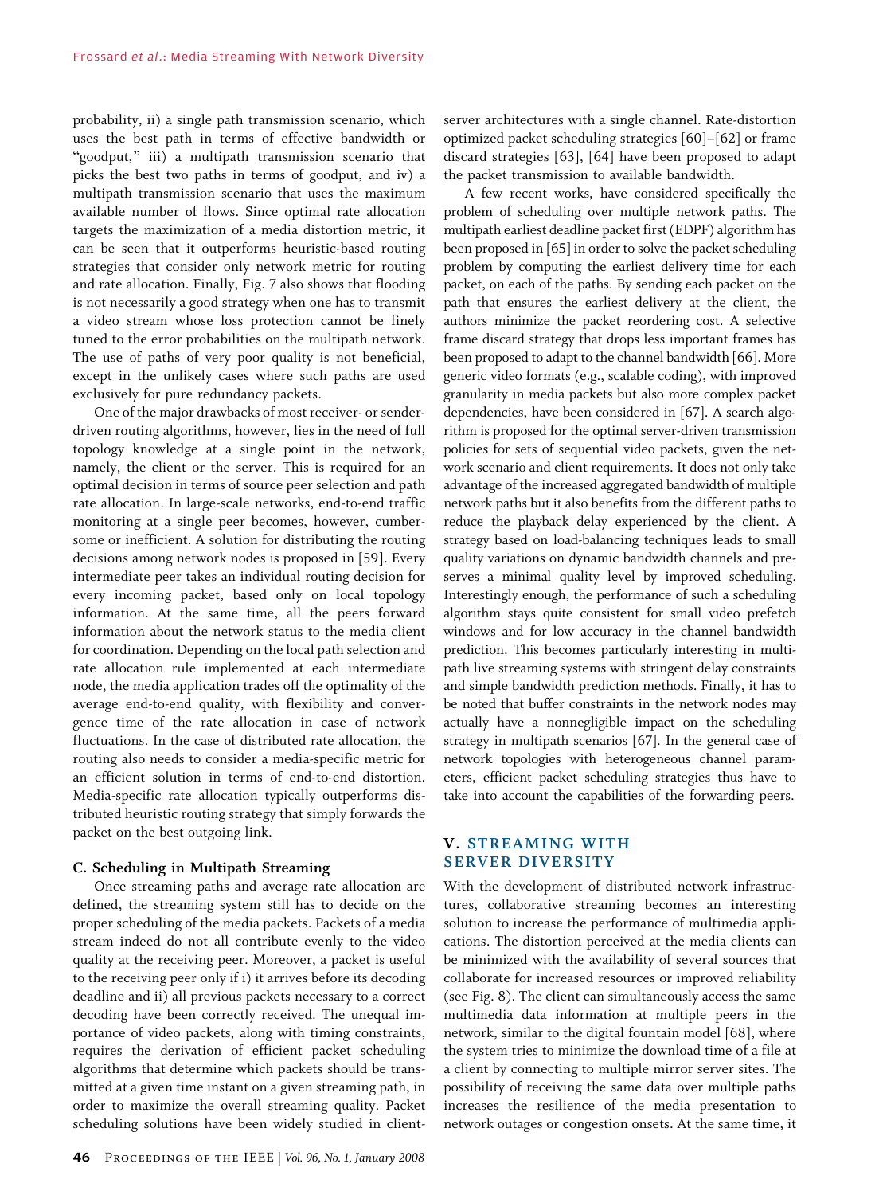probability, ii) a single path transmission scenario, which uses the best path in terms of effective bandwidth or "goodput," iii) a multipath transmission scenario that picks the best two paths in terms of goodput, and iv) a multipath transmission scenario that uses the maximum available number of flows. Since optimal rate allocation targets the maximization of a media distortion metric, it can be seen that it outperforms heuristic-based routing strategies that consider only network metric for routing and rate allocation. Finally, Fig. 7 also shows that flooding is not necessarily a good strategy when one has to transmit a video stream whose loss protection cannot be finely tuned to the error probabilities on the multipath network. The use of paths of very poor quality is not beneficial, except in the unlikely cases where such paths are used exclusively for pure redundancy packets.

One of the major drawbacks of most receiver- or senderdriven routing algorithms, however, lies in the need of full topology knowledge at a single point in the network, namely, the client or the server. This is required for an optimal decision in terms of source peer selection and path rate allocation. In large-scale networks, end-to-end traffic monitoring at a single peer becomes, however, cumbersome or inefficient. A solution for distributing the routing decisions among network nodes is proposed in [59]. Every intermediate peer takes an individual routing decision for every incoming packet, based only on local topology information. At the same time, all the peers forward information about the network status to the media client for coordination. Depending on the local path selection and rate allocation rule implemented at each intermediate node, the media application trades off the optimality of the average end-to-end quality, with flexibility and convergence time of the rate allocation in case of network fluctuations. In the case of distributed rate allocation, the routing also needs to consider a media-specific metric for an efficient solution in terms of end-to-end distortion. Media-specific rate allocation typically outperforms distributed heuristic routing strategy that simply forwards the packet on the best outgoing link.

# C. Scheduling in Multipath Streaming

Once streaming paths and average rate allocation are defined, the streaming system still has to decide on the proper scheduling of the media packets. Packets of a media stream indeed do not all contribute evenly to the video quality at the receiving peer. Moreover, a packet is useful to the receiving peer only if i) it arrives before its decoding deadline and ii) all previous packets necessary to a correct decoding have been correctly received. The unequal importance of video packets, along with timing constraints, requires the derivation of efficient packet scheduling algorithms that determine which packets should be transmitted at a given time instant on a given streaming path, in order to maximize the overall streaming quality. Packet scheduling solutions have been widely studied in clientserver architectures with a single channel. Rate-distortion optimized packet scheduling strategies [60]–[62] or frame discard strategies [63], [64] have been proposed to adapt the packet transmission to available bandwidth.

A few recent works, have considered specifically the problem of scheduling over multiple network paths. The multipath earliest deadline packet first (EDPF) algorithm has been proposed in [65] in order to solve the packet scheduling problem by computing the earliest delivery time for each packet, on each of the paths. By sending each packet on the path that ensures the earliest delivery at the client, the authors minimize the packet reordering cost. A selective frame discard strategy that drops less important frames has been proposed to adapt to the channel bandwidth [66]. More generic video formats (e.g., scalable coding), with improved granularity in media packets but also more complex packet dependencies, have been considered in [67]. A search algorithm is proposed for the optimal server-driven transmission policies for sets of sequential video packets, given the network scenario and client requirements. It does not only take advantage of the increased aggregated bandwidth of multiple network paths but it also benefits from the different paths to reduce the playback delay experienced by the client. A strategy based on load-balancing techniques leads to small quality variations on dynamic bandwidth channels and preserves a minimal quality level by improved scheduling. Interestingly enough, the performance of such a scheduling algorithm stays quite consistent for small video prefetch windows and for low accuracy in the channel bandwidth prediction. This becomes particularly interesting in multipath live streaming systems with stringent delay constraints and simple bandwidth prediction methods. Finally, it has to be noted that buffer constraints in the network nodes may actually have a nonnegligible impact on the scheduling strategy in multipath scenarios [67]. In the general case of network topologies with heterogeneous channel parameters, efficient packet scheduling strategies thus have to take into account the capabilities of the forwarding peers.

# V. STREAMING WITH SERVER DIVERSITY

With the development of distributed network infrastructures, collaborative streaming becomes an interesting solution to increase the performance of multimedia applications. The distortion perceived at the media clients can be minimized with the availability of several sources that collaborate for increased resources or improved reliability (see Fig. 8). The client can simultaneously access the same multimedia data information at multiple peers in the network, similar to the digital fountain model [68], where the system tries to minimize the download time of a file at a client by connecting to multiple mirror server sites. The possibility of receiving the same data over multiple paths increases the resilience of the media presentation to network outages or congestion onsets. At the same time, it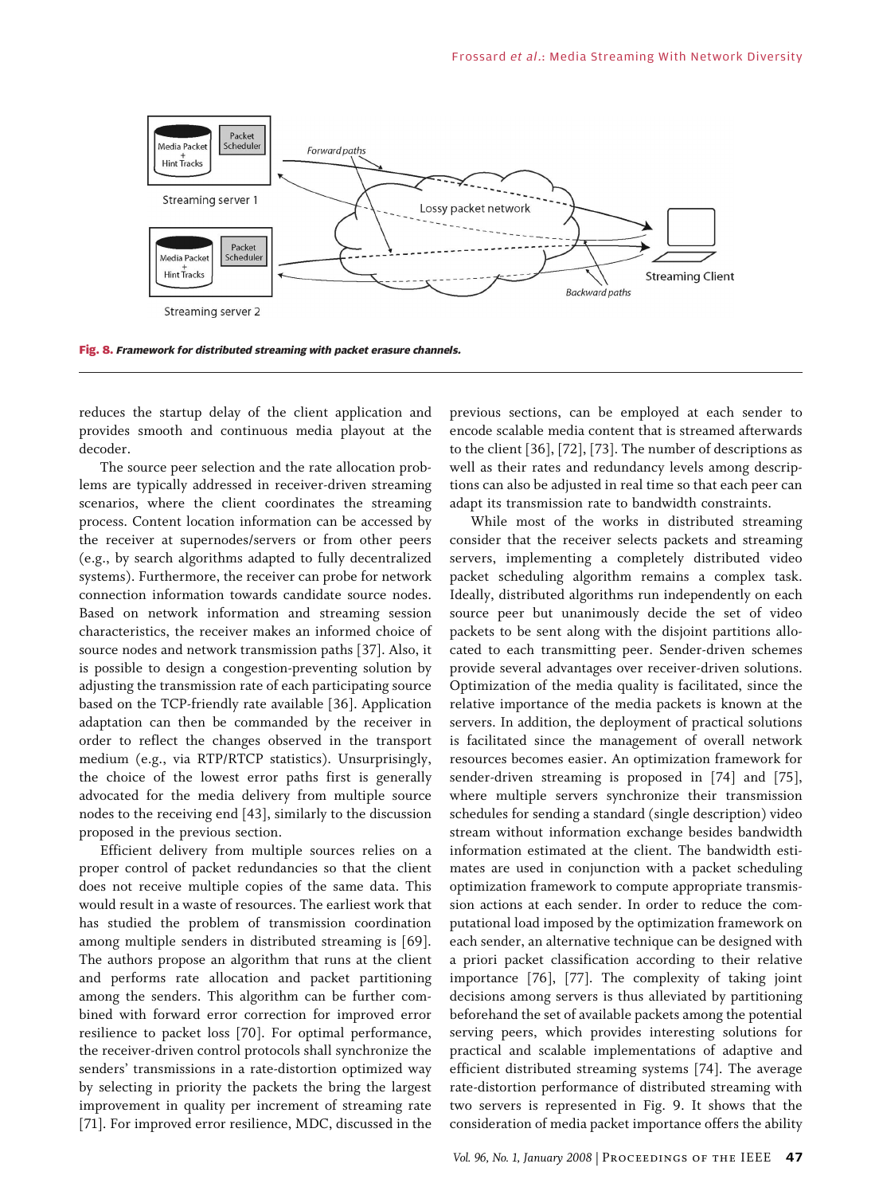

reduces the startup delay of the client application and provides smooth and continuous media playout at the decoder.

The source peer selection and the rate allocation problems are typically addressed in receiver-driven streaming scenarios, where the client coordinates the streaming process. Content location information can be accessed by the receiver at supernodes/servers or from other peers (e.g., by search algorithms adapted to fully decentralized systems). Furthermore, the receiver can probe for network connection information towards candidate source nodes. Based on network information and streaming session characteristics, the receiver makes an informed choice of source nodes and network transmission paths [37]. Also, it is possible to design a congestion-preventing solution by adjusting the transmission rate of each participating source based on the TCP-friendly rate available [36]. Application adaptation can then be commanded by the receiver in order to reflect the changes observed in the transport medium (e.g., via RTP/RTCP statistics). Unsurprisingly, the choice of the lowest error paths first is generally advocated for the media delivery from multiple source nodes to the receiving end [43], similarly to the discussion proposed in the previous section.

Efficient delivery from multiple sources relies on a proper control of packet redundancies so that the client does not receive multiple copies of the same data. This would result in a waste of resources. The earliest work that has studied the problem of transmission coordination among multiple senders in distributed streaming is [69]. The authors propose an algorithm that runs at the client and performs rate allocation and packet partitioning among the senders. This algorithm can be further combined with forward error correction for improved error resilience to packet loss [70]. For optimal performance, the receiver-driven control protocols shall synchronize the senders' transmissions in a rate-distortion optimized way by selecting in priority the packets the bring the largest improvement in quality per increment of streaming rate [71]. For improved error resilience, MDC, discussed in the

previous sections, can be employed at each sender to encode scalable media content that is streamed afterwards to the client [36], [72], [73]. The number of descriptions as well as their rates and redundancy levels among descriptions can also be adjusted in real time so that each peer can adapt its transmission rate to bandwidth constraints.

While most of the works in distributed streaming consider that the receiver selects packets and streaming servers, implementing a completely distributed video packet scheduling algorithm remains a complex task. Ideally, distributed algorithms run independently on each source peer but unanimously decide the set of video packets to be sent along with the disjoint partitions allocated to each transmitting peer. Sender-driven schemes provide several advantages over receiver-driven solutions. Optimization of the media quality is facilitated, since the relative importance of the media packets is known at the servers. In addition, the deployment of practical solutions is facilitated since the management of overall network resources becomes easier. An optimization framework for sender-driven streaming is proposed in [74] and [75], where multiple servers synchronize their transmission schedules for sending a standard (single description) video stream without information exchange besides bandwidth information estimated at the client. The bandwidth estimates are used in conjunction with a packet scheduling optimization framework to compute appropriate transmission actions at each sender. In order to reduce the computational load imposed by the optimization framework on each sender, an alternative technique can be designed with a priori packet classification according to their relative importance [76], [77]. The complexity of taking joint decisions among servers is thus alleviated by partitioning beforehand the set of available packets among the potential serving peers, which provides interesting solutions for practical and scalable implementations of adaptive and efficient distributed streaming systems [74]. The average rate-distortion performance of distributed streaming with two servers is represented in Fig. 9. It shows that the consideration of media packet importance offers the ability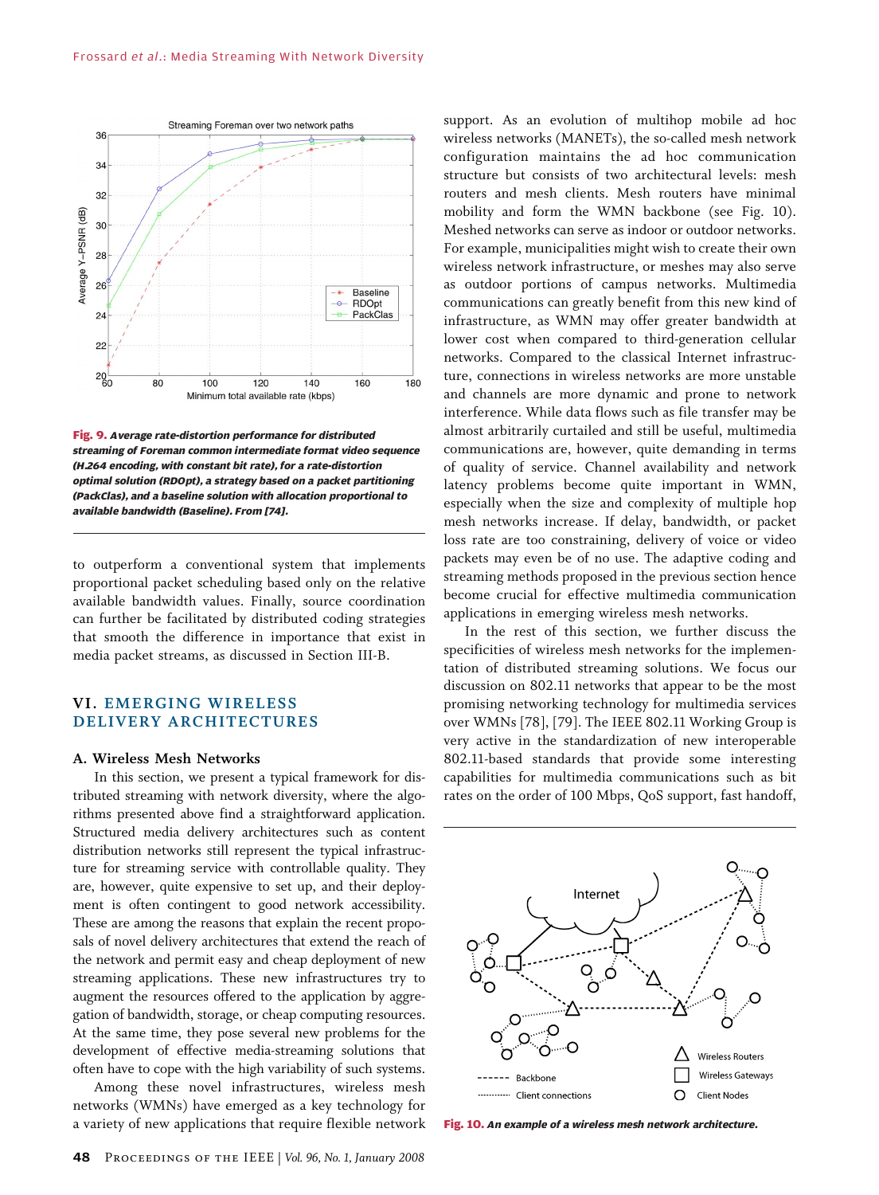

Fig. 9. Average rate-distortion performance for distributed streaming of Foreman common intermediate format video sequence (H.264 encoding, with constant bit rate), for a rate-distortion optimal solution (RDOpt), a strategy based on a packet partitioning (PackClas), and a baseline solution with allocation proportional to available bandwidth (Baseline). From [74].

to outperform a conventional system that implements proportional packet scheduling based only on the relative available bandwidth values. Finally, source coordination can further be facilitated by distributed coding strategies that smooth the difference in importance that exist in media packet streams, as discussed in Section III-B.

# VI. EMERGING WIRELESS DELIVERY ARCHITECTURES

## A. Wireless Mesh Networks

In this section, we present a typical framework for distributed streaming with network diversity, where the algorithms presented above find a straightforward application. Structured media delivery architectures such as content distribution networks still represent the typical infrastructure for streaming service with controllable quality. They are, however, quite expensive to set up, and their deployment is often contingent to good network accessibility. These are among the reasons that explain the recent proposals of novel delivery architectures that extend the reach of the network and permit easy and cheap deployment of new streaming applications. These new infrastructures try to augment the resources offered to the application by aggregation of bandwidth, storage, or cheap computing resources. At the same time, they pose several new problems for the development of effective media-streaming solutions that often have to cope with the high variability of such systems.

Among these novel infrastructures, wireless mesh networks (WMNs) have emerged as a key technology for a variety of new applications that require flexible network

support. As an evolution of multihop mobile ad hoc wireless networks (MANETs), the so-called mesh network configuration maintains the ad hoc communication structure but consists of two architectural levels: mesh routers and mesh clients. Mesh routers have minimal mobility and form the WMN backbone (see Fig. 10). Meshed networks can serve as indoor or outdoor networks. For example, municipalities might wish to create their own wireless network infrastructure, or meshes may also serve as outdoor portions of campus networks. Multimedia communications can greatly benefit from this new kind of infrastructure, as WMN may offer greater bandwidth at lower cost when compared to third-generation cellular networks. Compared to the classical Internet infrastructure, connections in wireless networks are more unstable and channels are more dynamic and prone to network interference. While data flows such as file transfer may be almost arbitrarily curtailed and still be useful, multimedia communications are, however, quite demanding in terms of quality of service. Channel availability and network latency problems become quite important in WMN, especially when the size and complexity of multiple hop mesh networks increase. If delay, bandwidth, or packet loss rate are too constraining, delivery of voice or video packets may even be of no use. The adaptive coding and streaming methods proposed in the previous section hence become crucial for effective multimedia communication applications in emerging wireless mesh networks.

In the rest of this section, we further discuss the specificities of wireless mesh networks for the implementation of distributed streaming solutions. We focus our discussion on 802.11 networks that appear to be the most promising networking technology for multimedia services over WMNs [78], [79]. The IEEE 802.11 Working Group is very active in the standardization of new interoperable 802.11-based standards that provide some interesting capabilities for multimedia communications such as bit rates on the order of 100 Mbps, QoS support, fast handoff,



Fig. 10. An example of a wireless mesh network architecture.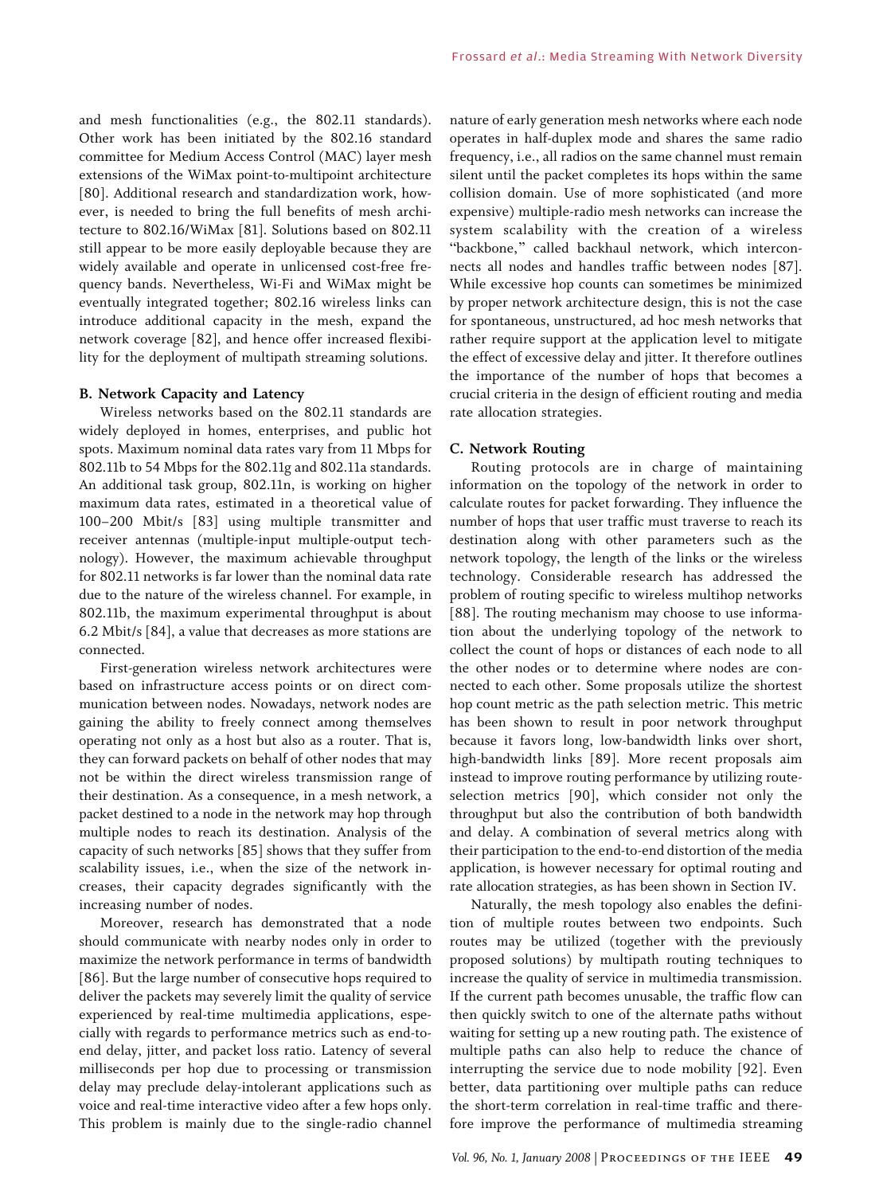and mesh functionalities (e.g., the 802.11 standards). Other work has been initiated by the 802.16 standard committee for Medium Access Control (MAC) layer mesh extensions of the WiMax point-to-multipoint architecture [80]. Additional research and standardization work, however, is needed to bring the full benefits of mesh architecture to 802.16/WiMax [81]. Solutions based on 802.11 still appear to be more easily deployable because they are widely available and operate in unlicensed cost-free frequency bands. Nevertheless, Wi-Fi and WiMax might be eventually integrated together; 802.16 wireless links can introduce additional capacity in the mesh, expand the network coverage [82], and hence offer increased flexibility for the deployment of multipath streaming solutions.

## B. Network Capacity and Latency

Wireless networks based on the 802.11 standards are widely deployed in homes, enterprises, and public hot spots. Maximum nominal data rates vary from 11 Mbps for 802.11b to 54 Mbps for the 802.11g and 802.11a standards. An additional task group, 802.11n, is working on higher maximum data rates, estimated in a theoretical value of 100–200 Mbit/s [83] using multiple transmitter and receiver antennas (multiple-input multiple-output technology). However, the maximum achievable throughput for 802.11 networks is far lower than the nominal data rate due to the nature of the wireless channel. For example, in 802.11b, the maximum experimental throughput is about 6.2 Mbit/s [84], a value that decreases as more stations are connected.

First-generation wireless network architectures were based on infrastructure access points or on direct communication between nodes. Nowadays, network nodes are gaining the ability to freely connect among themselves operating not only as a host but also as a router. That is, they can forward packets on behalf of other nodes that may not be within the direct wireless transmission range of their destination. As a consequence, in a mesh network, a packet destined to a node in the network may hop through multiple nodes to reach its destination. Analysis of the capacity of such networks [85] shows that they suffer from scalability issues, i.e., when the size of the network increases, their capacity degrades significantly with the increasing number of nodes.

Moreover, research has demonstrated that a node should communicate with nearby nodes only in order to maximize the network performance in terms of bandwidth [86]. But the large number of consecutive hops required to deliver the packets may severely limit the quality of service experienced by real-time multimedia applications, especially with regards to performance metrics such as end-toend delay, jitter, and packet loss ratio. Latency of several milliseconds per hop due to processing or transmission delay may preclude delay-intolerant applications such as voice and real-time interactive video after a few hops only. This problem is mainly due to the single-radio channel nature of early generation mesh networks where each node operates in half-duplex mode and shares the same radio frequency, i.e., all radios on the same channel must remain silent until the packet completes its hops within the same collision domain. Use of more sophisticated (and more expensive) multiple-radio mesh networks can increase the system scalability with the creation of a wireless "backbone," called backhaul network, which interconnects all nodes and handles traffic between nodes [87]. While excessive hop counts can sometimes be minimized by proper network architecture design, this is not the case for spontaneous, unstructured, ad hoc mesh networks that rather require support at the application level to mitigate the effect of excessive delay and jitter. It therefore outlines the importance of the number of hops that becomes a crucial criteria in the design of efficient routing and media rate allocation strategies.

#### C. Network Routing

Routing protocols are in charge of maintaining information on the topology of the network in order to calculate routes for packet forwarding. They influence the number of hops that user traffic must traverse to reach its destination along with other parameters such as the network topology, the length of the links or the wireless technology. Considerable research has addressed the problem of routing specific to wireless multihop networks [88]. The routing mechanism may choose to use information about the underlying topology of the network to collect the count of hops or distances of each node to all the other nodes or to determine where nodes are connected to each other. Some proposals utilize the shortest hop count metric as the path selection metric. This metric has been shown to result in poor network throughput because it favors long, low-bandwidth links over short, high-bandwidth links [89]. More recent proposals aim instead to improve routing performance by utilizing routeselection metrics [90], which consider not only the throughput but also the contribution of both bandwidth and delay. A combination of several metrics along with their participation to the end-to-end distortion of the media application, is however necessary for optimal routing and rate allocation strategies, as has been shown in Section IV.

Naturally, the mesh topology also enables the definition of multiple routes between two endpoints. Such routes may be utilized (together with the previously proposed solutions) by multipath routing techniques to increase the quality of service in multimedia transmission. If the current path becomes unusable, the traffic flow can then quickly switch to one of the alternate paths without waiting for setting up a new routing path. The existence of multiple paths can also help to reduce the chance of interrupting the service due to node mobility [92]. Even better, data partitioning over multiple paths can reduce the short-term correlation in real-time traffic and therefore improve the performance of multimedia streaming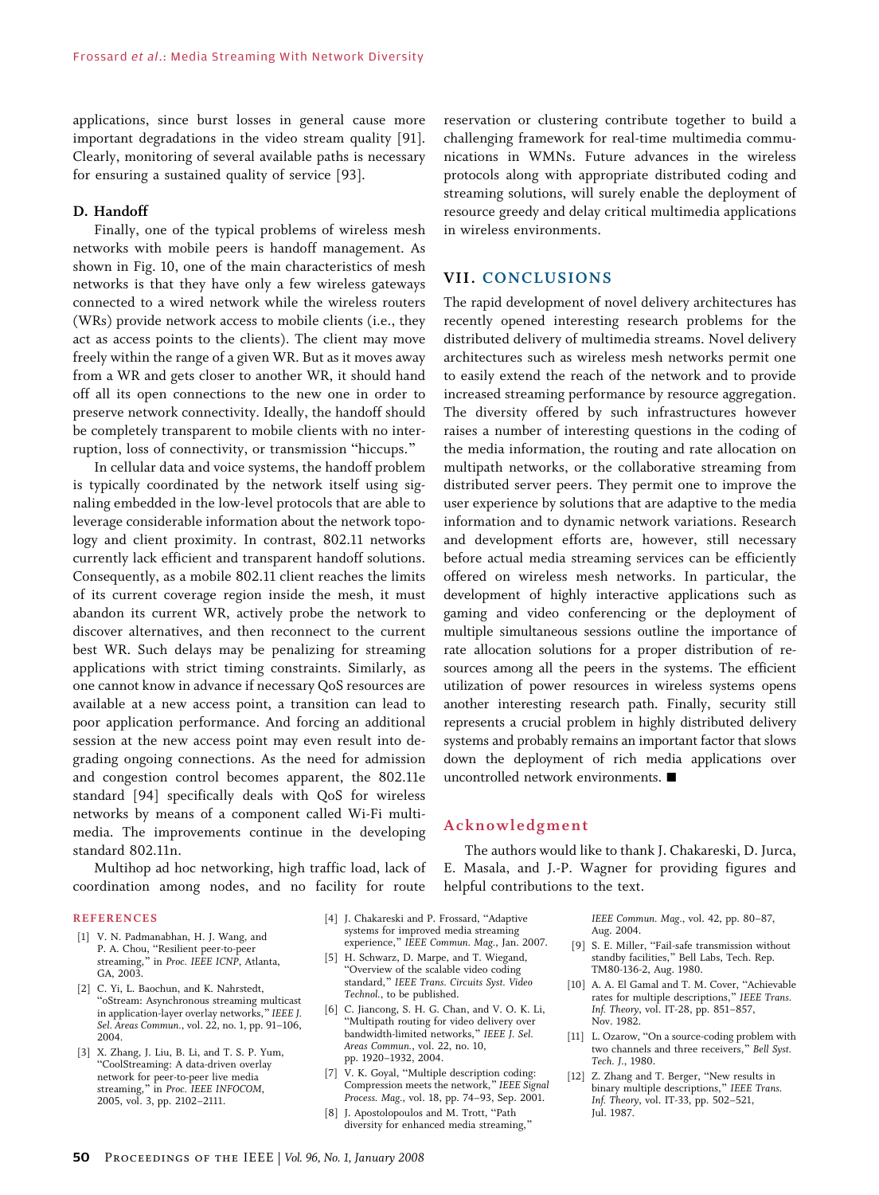applications, since burst losses in general cause more important degradations in the video stream quality [91]. Clearly, monitoring of several available paths is necessary for ensuring a sustained quality of service [93].

# D. Handoff

Finally, one of the typical problems of wireless mesh networks with mobile peers is handoff management. As shown in Fig. 10, one of the main characteristics of mesh networks is that they have only a few wireless gateways connected to a wired network while the wireless routers (WRs) provide network access to mobile clients (i.e., they act as access points to the clients). The client may move freely within the range of a given WR. But as it moves away from a WR and gets closer to another WR, it should hand off all its open connections to the new one in order to preserve network connectivity. Ideally, the handoff should be completely transparent to mobile clients with no interruption, loss of connectivity, or transmission "hiccups."

In cellular data and voice systems, the handoff problem is typically coordinated by the network itself using signaling embedded in the low-level protocols that are able to leverage considerable information about the network topology and client proximity. In contrast, 802.11 networks currently lack efficient and transparent handoff solutions. Consequently, as a mobile 802.11 client reaches the limits of its current coverage region inside the mesh, it must abandon its current WR, actively probe the network to discover alternatives, and then reconnect to the current best WR. Such delays may be penalizing for streaming applications with strict timing constraints. Similarly, as one cannot know in advance if necessary QoS resources are available at a new access point, a transition can lead to poor application performance. And forcing an additional session at the new access point may even result into degrading ongoing connections. As the need for admission and congestion control becomes apparent, the 802.11e standard [94] specifically deals with QoS for wireless networks by means of a component called Wi-Fi multimedia. The improvements continue in the developing standard 802.11n.

Multihop ad hoc networking, high traffic load, lack of coordination among nodes, and no facility for route

#### REFERENCES

- [1] V. N. Padmanabhan, H. J. Wang, and P. A. Chou, "Resilient peer-to-peer<br>streaming," in *Proc. IEEE ICNP*, Atlanta, GA, 2003.
- [2] C. Yi, L. Baochun, and K. Nahrstedt, BoStream: Asynchronous streaming multicast in application-layer overlay networks," IEEE J. Sel. Areas Commun., vol. 22, no. 1, pp. 91–106, 2004.
- [3] X. Zhang, J. Liu, B. Li, and T. S. P. Yum, BCoolStreaming: A data-driven overlay network for peer-to-peer live media<br>streaming," in Proc. IEEE INFOCOM,<br>2005, vol. 3, pp. 2102–2111.
- [4] J. Chakareski and P. Frossard, "Adaptive systems for improved media streaming experience," IEEE Commun. Mag., Jan. 2007.
- [5] H. Schwarz, D. Marpe, and T. Wiegand, "Overview of the scalable video coding standard," IEEE Trans. Circuits Syst. Video Technol., to be published.
- [6] C. Jiancong, S. H. G. Chan, and V. O. K. Li, "Multipath routing for video delivery over<br>bandwidth-limited networks," IEEE J. Sel. Areas Commun., vol. 22, no. 10, pp. 1920–1932, 2004.
- [7] V. K. Goyal, "Multiple description coding: Compression meets the network," IEEE Signal Process. Mag., vol. 18, pp. 74–93, Sep. 2001.
- [8] J. Apostolopoulos and M. Trott, "Path diversity for enhanced media streaming,'

reservation or clustering contribute together to build a challenging framework for real-time multimedia communications in WMNs. Future advances in the wireless protocols along with appropriate distributed coding and streaming solutions, will surely enable the deployment of resource greedy and delay critical multimedia applications in wireless environments.

# VII. CONCLUSIONS

The rapid development of novel delivery architectures has recently opened interesting research problems for the distributed delivery of multimedia streams. Novel delivery architectures such as wireless mesh networks permit one to easily extend the reach of the network and to provide increased streaming performance by resource aggregation. The diversity offered by such infrastructures however raises a number of interesting questions in the coding of the media information, the routing and rate allocation on multipath networks, or the collaborative streaming from distributed server peers. They permit one to improve the user experience by solutions that are adaptive to the media information and to dynamic network variations. Research and development efforts are, however, still necessary before actual media streaming services can be efficiently offered on wireless mesh networks. In particular, the development of highly interactive applications such as gaming and video conferencing or the deployment of multiple simultaneous sessions outline the importance of rate allocation solutions for a proper distribution of resources among all the peers in the systems. The efficient utilization of power resources in wireless systems opens another interesting research path. Finally, security still represents a crucial problem in highly distributed delivery systems and probably remains an important factor that slows down the deployment of rich media applications over uncontrolled network environments.  $\blacksquare$ 

# Acknowledgment

The authors would like to thank J. Chakareski, D. Jurca, E. Masala, and J.-P. Wagner for providing figures and helpful contributions to the text.

> IEEE Commun. Mag., vol. 42, pp. 80–87, Aug. 2004.

- [9] S. E. Miller, "Fail-safe transmission without standby facilities," Bell Labs, Tech. Rep. TM80-136-2, Aug. 1980.
- [10] A. A. El Gamal and T. M. Cover, "Achievable rates for multiple descriptions," IEEE Trans. Inf. Theory, vol. IT-28, pp. 851–857, Nov. 1982.
- [11] L. Ozarow, "On a source-coding problem with two channels and three receivers," Bell Syst. Tech. J., 1980.
- [12] Z. Zhang and T. Berger, "New results in binary multiple descriptions," IEEE Trans. Inf. Theory, vol. IT-33, pp. 502–521, Jul. 1987.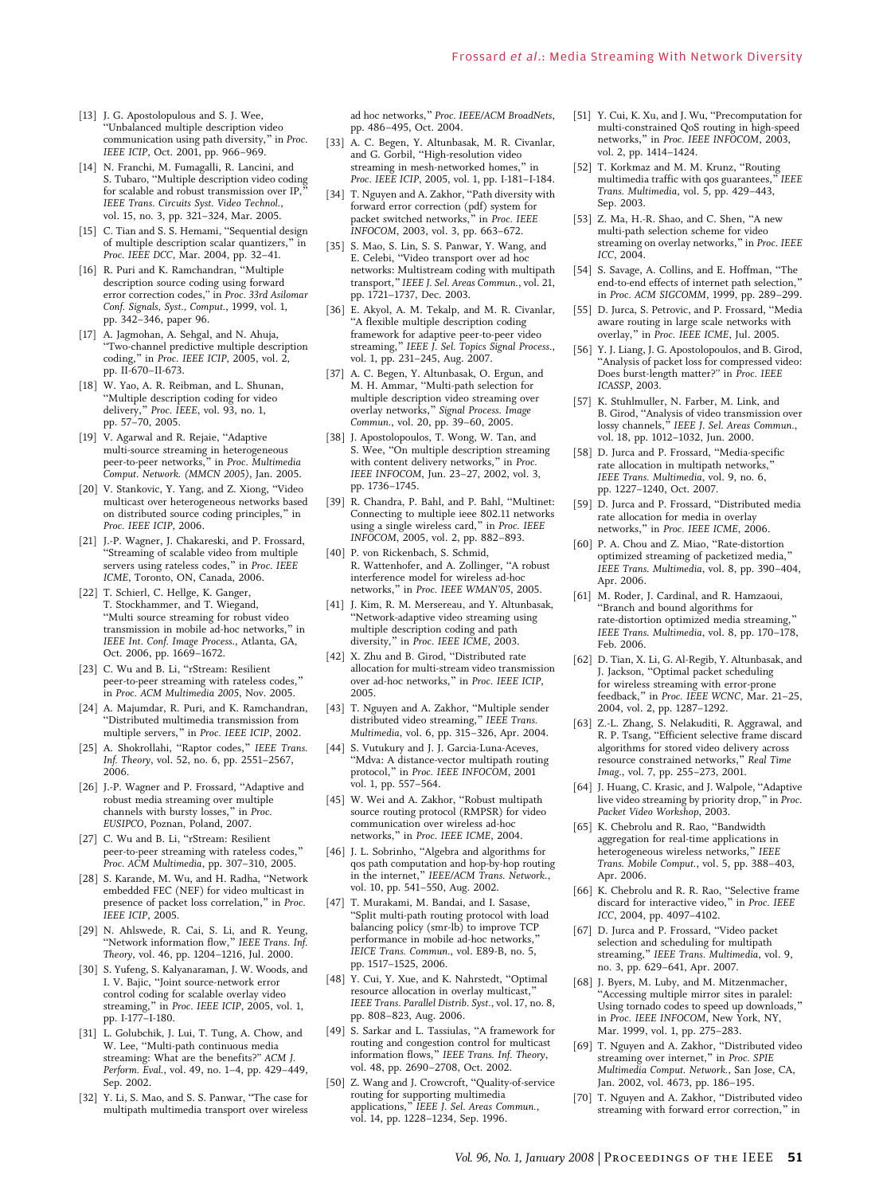- [13] J. G. Apostolopulous and S. J. Wee, 'Unbalanced multiple description video communication using path diversity," in Proc. IEEE ICIP, Oct. 2001, pp. 966–969.
- [14] N. Franchi, M. Fumagalli, R. Lancini, and S. Tubaro, "Multiple description video coding for scalable and robust transmission over IP, IEEE Trans. Circuits Syst. Video Technol., vol. 15, no. 3, pp. 321–324, Mar. 2005.
- [15] C. Tian and S. S. Hemami, "Sequential design of multiple description scalar quantizers," in Proc. IEEE DCC, Mar. 2004, pp. 32–41.
- [16] R. Puri and K. Ramchandran, "Multiple description source coding using forward error correction codes,'' in Proc. 33rd Asilomar Conf. Signals, Syst., Comput., 1999, vol. 1, pp. 342–346, paper 96.
- [17] A. Jagmohan, A. Sehgal, and N. Ahuja, "Two-channel predictive multiple description coding," in Proc. IEEE ICIP,  $2005$ , vol. 2, pp. II-670–II-673.
- [18] W. Yao, A. R. Reibman, and L. Shunan, "Multiple description coding for video delivery," Proc. IEEE, vol. 93, no. 1, pp. 57–70, 2005.
- [19] V. Agarwal and R. Rejaie, "Adaptive multi-source streaming in heterogeneous<br>peer-to-peer networks," in Proc. Multimedia Comput. Network. (MMCN 2005), Jan. 2005.
- [20] V. Stankovic, Y. Yang, and Z. Xiong, "Video multicast over heterogeneous networks based on distributed source coding principles," in Proc. IEEE ICIP, 2006.
- [21] J.-P. Wagner, J. Chakareski, and P. Frossard, "Streaming of scalable video from multiple servers using rateless codes," in Proc. IEEE ICME, Toronto, ON, Canada, 2006.
- [22] T. Schierl, C. Hellge, K. Ganger, T. Stockhammer, and T. Wiegand, "Multi source streaming for robust video transmission in mobile ad-hoc networks," in IEEE Int. Conf. Image Process., Atlanta, GA, Oct. 2006, pp. 1669–1672.
- [23] C. Wu and B. Li, "rStream: Resilient peer-to-peer streaming with rateless codes," in Proc. ACM Multimedia 2005, Nov. 2005.
- [24] A. Majumdar, R. Puri, and K. Ramchandran, "Distributed multimedia transmission from multiple servers," in Proc. IEEE ICIP, 2002.
- [25] A. Shokrollahi, "Raptor codes," IEEE Trans. Inf. Theory, vol. 52, no. 6, pp. 2551–2567, 2006.
- [26] J.-P. Wagner and P. Frossard, "Adaptive and robust media streaming over multiple channels with bursty losses," in Proc. EUSIPCO, Poznan, Poland, 2007.
- [27] C. Wu and B. Li, "rStream: Resilient peer-to-peer streaming with rateless codes,' Proc. ACM Multimedia, pp. 307–310, 2005.
- [28] S. Karande, M. Wu, and H. Radha, "Network embedded FEC (NEF) for video multicast in presence of packet loss correlation," in Proc. IEEE ICIP, 2005.
- [29] N. Ahlswede, R. Cai, S. Li, and R. Yeung, "Network information flow," IEEE Trans. Inf. Theory, vol. 46, pp. 1204–1216, Jul. 2000.
- [30] S. Yufeng, S. Kalyanaraman, J. W. Woods, and I. V. Bajic, "Joint source-network error control coding for scalable overlay video streaming," in Proc. IEEE ICIP, 2005, vol. 1, pp. I-177–I-180.
- [31] L. Golubchik, J. Lui, T. Tung, A. Chow, and W. Lee, "Multi-path continuous media streaming: What are the benefits?'' ACM J. Perform. Eval., vol. 49, no. 1–4, pp. 429–449, Sep. 2002.
- [32] Y. Li, S. Mao, and S. S. Panwar, "The case for multipath multimedia transport over wireless

ad hoc networks," Proc. IEEE/ACM BroadNets, pp. 486–495, Oct. 2004.

- [33] A. C. Begen, Y. Altunbasak, M. R. Civanlar, and G. Gorbil, "High-resolution video streaming in mesh-networked homes," in Proc. IEEE ICIP, 2005, vol. 1, pp. I-181–I-184.
- [34] T. Nguyen and A. Zakhor, "Path diversity with forward error correction (pdf) system for packet switched networks," in Proc. IEEE INFOCOM, 2003, vol. 3, pp. 663–672.
- [35] S. Mao, S. Lin, S. S. Panwar, Y. Wang, and E. Celebi, "Video transport over ad hoc networks: Multistream coding with multipath transport," IEEE J. Sel. Areas Commun., vol. 21, pp. 1721–1737, Dec. 2003.
- [36] E. Akyol, A. M. Tekalp, and M. R. Civanlar, "A flexible multiple description coding framework for adaptive peer-to-peer video streaming," IEEE J. Sel. Topics Signal Process., vol. 1, pp. 231–245, Aug. 2007.
- [37] A. C. Begen, Y. Altunbasak, O. Ergun, and M. H. Ammar, "Multi-path selection for multiple description video streaming over overlay networks," Signal Process. Image Commun., vol. 20, pp. 39–60, 2005.
- [38] J. Apostolopoulos, T. Wong, W. Tan, and S. Wee, "On multiple description streaming with content delivery networks," in Proc. IEEE INFOCOM, Jun. 23–27, 2002, vol. 3, pp. 1736–1745.
- [39] R. Chandra, P. Bahl, and P. Bahl, "Multinet: Connecting to multiple ieee 802.11 networks using a single wireless card," in Proc. IEEE INFOCOM, 2005, vol. 2, pp. 882–893.
- [40] P. von Rickenbach, S. Schmid, R. Wattenhofer, and A. Zollinger, "A robust interference model for wireless ad-hoc networks," in Proc. IEEE WMAN'05, 2005
- [41] J. Kim, R. M. Mersereau, and Y. Altunbasak, "Network-adaptive video streaming using multiple description coding and path diversity," in Proc. IEEE ICME, 2003.
- [42] X. Zhu and B. Girod, "Distributed rate allocation for multi-stream video transmission over ad-hoc networks," in Proc. IEEE ICIP, 2005.
- [43] T. Nguyen and A. Zakhor, "Multiple sender distributed video streaming," IEEE Trans.<br>Multimedia, vol. 6, pp. 315–326, Apr. 2004.
- [44] S. Vutukury and J. J. Garcia-Luna-Aceves, "Mdva: A distance-vector multipath routing protocol," in Proc. IEEE INFOCOM, 2001 vol. 1, pp. 557–564.
- [45] W. Wei and A. Zakhor, "Robust multipath source routing protocol (RMPSR) for video communication over wireless ad-hoc networks," in Proc. IEEE ICME, 2004.
- [46] J. L. Sobrinho, "Algebra and algorithms for qos path computation and hop-by-hop routing in the internet," IEEE/ACM Trans. Network., vol. 10, pp. 541–550, Aug. 2002.
- T. Murakami, M. Bandai, and I. Sasase, BSplit multi-path routing protocol with load balancing policy (smr-lb) to improve TCP performance in mobile ad-hoc networks,[ IEICE Trans. Commun., vol. E89-B, no. 5, pp. 1517–1525, 2006.
- [48] Y. Cui, Y. Xue, and K. Nahrstedt, "Optimal resource allocation in overlay multicast,[ IEEE Trans. Parallel Distrib. Syst., vol. 17, no. 8, pp. 808–823, Aug. 2006.
- [49] S. Sarkar and L. Tassiulas, "A framework for routing and congestion control for multicast information flows," IEEE Trans. Inf. Theory, vol. 48, pp. 2690–2708, Oct. 2002.
- [50] Z. Wang and J. Crowcroft, "Quality-of-service routing for supporting multimedia<br>applications," IEEE J. Sel. Areas Commun., vol. 14, pp. 1228–1234, Sep. 1996.
- [51] Y. Cui, K. Xu, and J. Wu, "Precomputation for multi-constrained QoS routing in high-speed networks," in Proc. IEEE INFOCOM, 2003, vol. 2, pp. 1414–1424.
- [52] T. Korkmaz and M. M. Krunz, "Routing<br>multimedia traffic with gos guarantees," IEEE multimedia traffic with qos guarantees," Trans. Multimedia, vol. 5, pp. 429–443, Sep. 2003.
- [53] Z. Ma, H.-R. Shao, and C. Shen, "A new multi-path selection scheme for video streaming on overlay networks," in Proc. IEEE ICC, 2004.
- [54] S. Savage, A. Collins, and E. Hoffman, "The end-to-end effects of internet path selection, in Proc. ACM SIGCOMM, 1999, pp. 289–299.
- [55] D. Jurca, S. Petrovic, and P. Frossard, "Media aware routing in large scale networks with overlay," in Proc. IEEE ICME, Jul. 2005.
- [56] Y. J. Liang, J. G. Apostolopoulos, and B. Girod, "Analysis of packet loss for compressed video: Does burst-length matter?'' in Proc. IEEE ICASSP, 2003.
- [57] K. Stuhlmuller, N. Farber, M. Link, and B. Girod, "Analysis of video transmission over lossy channels," IEEE J. Sel. Areas Commun., vol. 18, pp. 1012–1032, Jun. 2000.
- [58] D. Jurca and P. Frossard, "Media-specific rate allocation in multipath networks, IEEE Trans. Multimedia, vol. 9, no. 6, pp. 1227–1240, Oct. 2007.
- [59] D. Jurca and P. Frossard, "Distributed media rate allocation for media in overlay networks," in Proc. IEEE ICME, 2006.
- [60] P. A. Chou and Z. Miao, "Rate-distortion optimized streaming of packetized media, IEEE Trans. Multimedia, vol. 8, pp. 390–404, Apr. 2006.
- [61] M. Roder, J. Cardinal, and R. Hamzaoui, "Branch and bound algorithms for rate-distortion optimized media streaming," IEEE Trans. Multimedia, vol. 8, pp. 170–178, Feb. 2006.
- [62] D. Tian, X. Li, G. Al-Regib, Y. Altunbasak, and J. Jackson, "Optimal packet scheduling for wireless streaming with error-prone feedback," in Proc. IEEE WCNC, Mar. 21-25, 2004, vol. 2, pp. 1287–1292.
- [63] Z.-L. Zhang, S. Nelakuditi, R. Aggrawal, and R. P. Tsang, "Efficient selective frame discard algorithms for stored video delivery across resource constrained networks," Real Time Imag., vol. 7, pp. 255–273, 2001.
- [64] J. Huang, C. Krasic, and J. Walpole, "Adaptive live video streaming by priority drop," in Proc. Packet Video Workshop, 2003.
- [65] K. Chebrolu and R. Rao, "Bandwidth aggregation for real-time applications in heterogeneous wireless networks," IEEE Trans. Mobile Comput., vol. 5, pp. 388–403, Apr. 2006.
- [66] K. Chebrolu and R. R. Rao, "Selective frame discard for interactive video," in Proc. IEEE ICC, 2004, pp. 4097–4102.
- [67] D. Jurca and P. Frossard, "Video packet selection and scheduling for multipath<br>streaming," IEEE Trans. Multimedia, vol. 9, no. 3, pp. 629–641, Apr. 2007.
- [68] J. Byers, M. Luby, and M. Mitzenmacher, 'Accessing multiple mirror sites in paralel: Using tornado codes to speed up downloads," in Proc. IEEE INFOCOM, New York, NY, Mar. 1999, vol. 1, pp. 275–283.
- [69] T. Nguyen and A. Zakhor, "Distributed video<br>streaming over internet," in Proc. SPIE Multimedia Comput. Network., San Jose, CA, Jan. 2002, vol. 4673, pp. 186–195.
- [70] T. Nguyen and A. Zakhor, "Distributed video streaming with forward error correction," in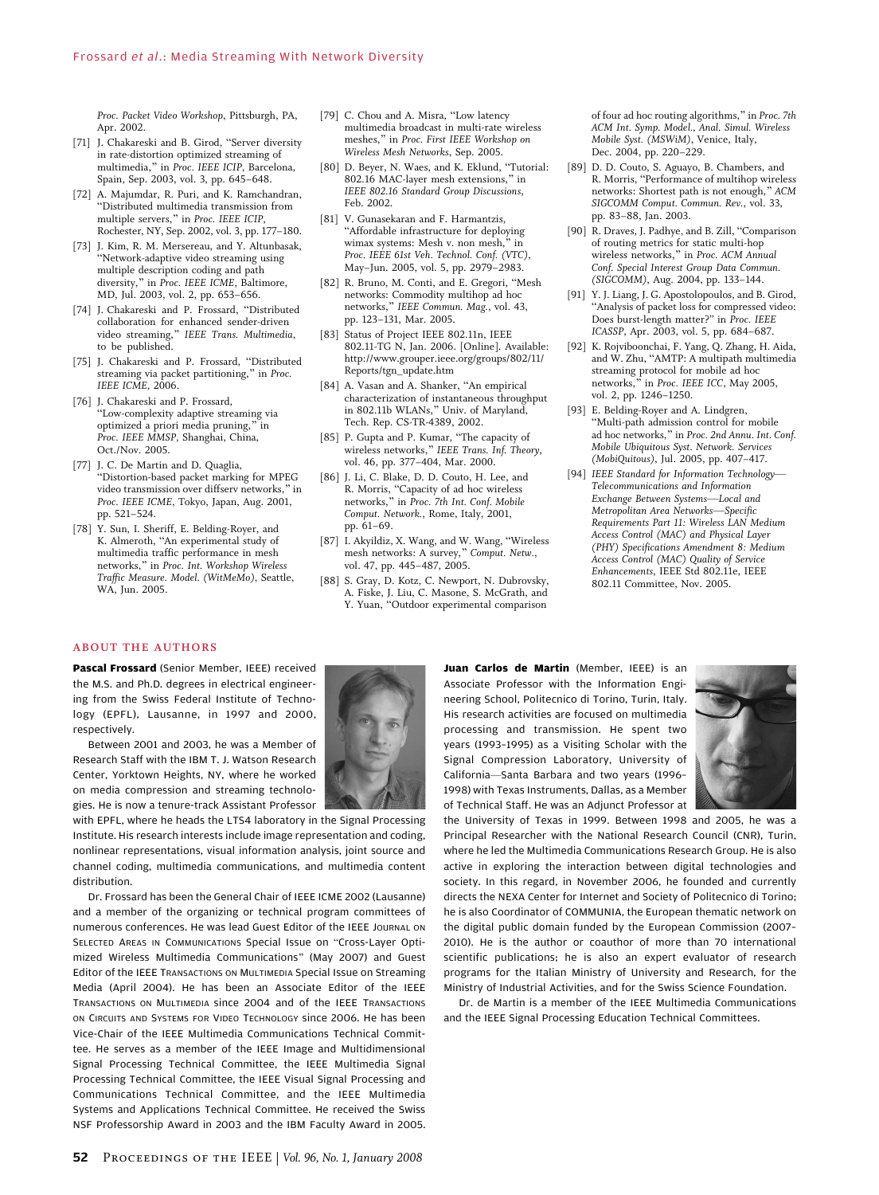Proc. Packet Video Workshop, Pittsburgh, PA, Apr. 2002.

- [71] J. Chakareski and B. Girod, "Server diversity in rate-distortion optimized streaming of multimedia," in Proc. IEEE ICIP, Barcelona, Spain, Sep. 2003, vol. 3, pp. 645–648.
- [72] A. Majumdar, R. Puri, and K. Ramchandran, "Distributed multimedia transmission from multiple servers," in Proc. IEEE ICIP, Rochester, NY, Sep. 2002, vol. 3, pp. 177–180.
- [73] J. Kim, R. M. Mersereau, and Y. Altunbasak, "Network-adaptive video streaming using multiple description coding and path diversity," in Proc. IEEE ICME, Baltimore, MD, Jul. 2003, vol. 2, pp. 653–656.
- [74] J. Chakareski and P. Frossard, "Distributed collaboration for enhanced sender-driven<br>video streaming," IEEE Trans. Multimedia, to be published..
- [75] J. Chakareski and P. Frossard, "Distributed streaming via packet partitioning," in Proc. IEEE ICME, 2006.
- [76] J. Chakareski and P. Frossard, 'Low-complexity adaptive streaming via optimized a priori media pruning," in Proc. IEEE MMSP, Shanghai, China, Oct./Nov. 2005.
- [77] J. C. De Martin and D. Quaglia, "Distortion-based packet marking for MPEG video transmission over diffserv networks," in Proc. IEEE ICME, Tokyo, Japan, Aug. 2001, pp. 521–524.
- [78] Y. Sun, I. Sheriff, E. Belding-Royer, and K. Almeroth, "An experimental study of multimedia traffic performance in mesh networks," in Proc. Int. Workshop Wireless Traffic Measure. Model. (WitMeMo), Seattle, WA, Jun. 2005.
- [79] C. Chou and A. Misra, "Low latency multimedia broadcast in multi-rate wireless meshes," in Proc. First IEEE Workshop on Wireless Mesh Networks, Sep. 2005.
- [80] D. Beyer, N. Waes, and K. Eklund, "Tutorial: 802.16 MAC-layer mesh extensions," in IEEE 802.16 Standard Group Discussions, Feb. 2002.
- [81] V. Gunasekaran and F. Harmantzis, "Affordable infrastructure for deploying wimax systems: Mesh v. non mesh, Proc. IEEE 61st Veh. Technol. Conf. (VTC), May–Jun. 2005, vol. 5, pp. 2979–2983.
- [82] R. Bruno, M. Conti, and E. Gregori, "Mesh networks: Commodity multihop ad hoc networks," IEEE Commun. Mag., vol. 43, pp. 123–131, Mar. 2005.
- [83] Status of Project IEEE 802.11n, IEEE 802.11-TG N, Jan. 2006. [Online]. Available: http://www.grouper.ieee.org/groups/802/11/ Reports/tgn\_update.htm.
- [84] A. Vasan and A. Shanker, "An empirical characterization of instantaneous throughput in 802.11b WLANs," Univ. of Maryland, Tech. Rep. CS-TR-4389, 2002.
- [85] P. Gupta and P. Kumar, "The capacity of wireless networks," IEEE Trans. Inf. Theory, vol. 46, pp. 377–404, Mar. 2000.
- [86] J. Li, C. Blake, D. D. Couto, H. Lee, and R. Morris, "Capacity of ad hoc wireless<br>networks," in Proc. 7th Int. Conf. Mobile Comput. Network., Rome, Italy, 2001, pp. 61–69.
- [87] I. Akyildiz, X. Wang, and W. Wang, "Wireless mesh networks: A survey," Comput. Netw., vol. 47, pp. 445-487, 2005.
- [88] S. Gray, D. Kotz, C. Newport, N. Dubrovsky, A. Fiske, J. Liu, C. Masone, S. McGrath, and Y. Yuan, "Outdoor experimental comparison

of four ad hoc routing algorithms," in Proc. 7th ACM Int. Symp. Model., Anal. Simul. Wireless Mobile Syst. (MSWiM), Venice, Italy, Dec. 2004, pp. 220–229.

- [89] D. D. Couto, S. Aguayo, B. Chambers, and R. Morris, "Performance of multihop wireless networks: Shortest path is not enough," ACM SIGCOMM Comput. Commun. Rev., vol. 33, pp. 83–88, Jan. 2003.
- [90] R. Draves, J. Padhye, and B. Zill, "Comparison of routing metrics for static multi-hop wireless networks," in Proc. ACM Annual Conf. Special Interest Group Data Commun. (SIGCOMM), Aug. 2004, pp. 133–144.
- [91] Y. J. Liang, J. G. Apostolopoulos, and B. Girod, "Analysis of packet loss for compressed video: Does burst-length matter?'' in Proc. IEEE ICASSP, Apr. 2003, vol. 5, pp. 684–687.
- [92] K. Rojviboonchai, F. Yang, Q. Zhang, H. Aida, and W. Zhu, "AMTP: A multipath multimedia streaming protocol for mobile ad hoc networks,[ in Proc. IEEE ICC, May 2005, vol. 2, pp. 1246–1250.
- [93] E. Belding-Royer and A. Lindgren, 'Multi-path admission control for mobile ad hoc networks," in Proc. 2nd Annu. Int. Conf. Mobile Ubiquitous Syst. Network. Services (MobiQuitous), Jul. 2005, pp. 407–417.
- [94] IEEE Standard for Information Technology-Telecommunications and Information Exchange Between Systems-Local and Metropolitan Area Networks-Specific Requirements Part 11: Wireless LAN Medium Access Control (MAC) and Physical Layer (PHY) Specifications Amendment 8: Medium Access Control (MAC) Quality of Service Enhancements, IEEE Std 802.11e, IEEE 802.11 Committee, Nov. 2005.

#### ABOUT THE AUTHORS

Pascal Frossard (Senior Member, IEEE) received the M.S. and Ph.D. degrees in electrical engineering from the Swiss Federal Institute of Technology (EPFL), Lausanne, in 1997 and 2000, respectively.

Between 2001 and 2003, he was a Member of Research Staff with the IBM T. J. Watson Research Center, Yorktown Heights, NY, where he worked on media compression and streaming technologies. He is now a tenure-track Assistant Professor

with EPFL, where he heads the LTS4 laboratory in the Signal Processing Institute. His research interests include image representation and coding, nonlinear representations, visual information analysis, joint source and channel coding, multimedia communications, and multimedia content distribution.

Dr. Frossard has been the General Chair of IEEE ICME 2002 (Lausanne) and a member of the organizing or technical program committees of numerous conferences. He was lead Guest Editor of the IEEE JOURNAL ON SELECTED AREAS IN COMMUNICATIONS Special Issue on "Cross-Layer Optimized Wireless Multimedia Communications[ (May 2007) and Guest Editor of the IEEE TRANSACTIONS ON MULTIMEDIA Special Issue on Streaming Media (April 2004). He has been an Associate Editor of the IEEE TRANSACTIONS ON MULTIMEDIA since 2004 and of the IEEE TRANSACTIONS ON CIRCUITS AND SYSTEMS FOR VIDEO TECHNOLOGY since 2006. He has been Vice-Chair of the IEEE Multimedia Communications Technical Committee. He serves as a member of the IEEE Image and Multidimensional Signal Processing Technical Committee, the IEEE Multimedia Signal Processing Technical Committee, the IEEE Visual Signal Processing and Communications Technical Committee, and the IEEE Multimedia Systems and Applications Technical Committee. He received the Swiss NSF Professorship Award in 2003 and the IBM Faculty Award in 2005.

Juan Carlos de Martin (Member, IEEE) is an Associate Professor with the Information Engineering School, Politecnico di Torino, Turin, Italy. His research activities are focused on multimedia processing and transmission. He spent two years (1993–1995) as a Visiting Scholar with the Signal Compression Laboratory, University of California-Santa Barbara and two years (1996-1998) with Texas Instruments, Dallas, as a Member of Technical Staff. He was an Adjunct Professor at



the University of Texas in 1999. Between 1998 and 2005, he was a Principal Researcher with the National Research Council (CNR), Turin, where he led the Multimedia Communications Research Group. He is also active in exploring the interaction between digital technologies and society. In this regard, in November 2006, he founded and currently directs the NEXA Center for Internet and Society of Politecnico di Torino; he is also Coordinator of COMMUNIA, the European thematic network on the digital public domain funded by the European Commission (2007– 2010). He is the author or coauthor of more than 70 international scientific publications; he is also an expert evaluator of research programs for the Italian Ministry of University and Research, for the Ministry of Industrial Activities, and for the Swiss Science Foundation.

Dr. de Martin is a member of the IEEE Multimedia Communications and the IEEE Signal Processing Education Technical Committees.